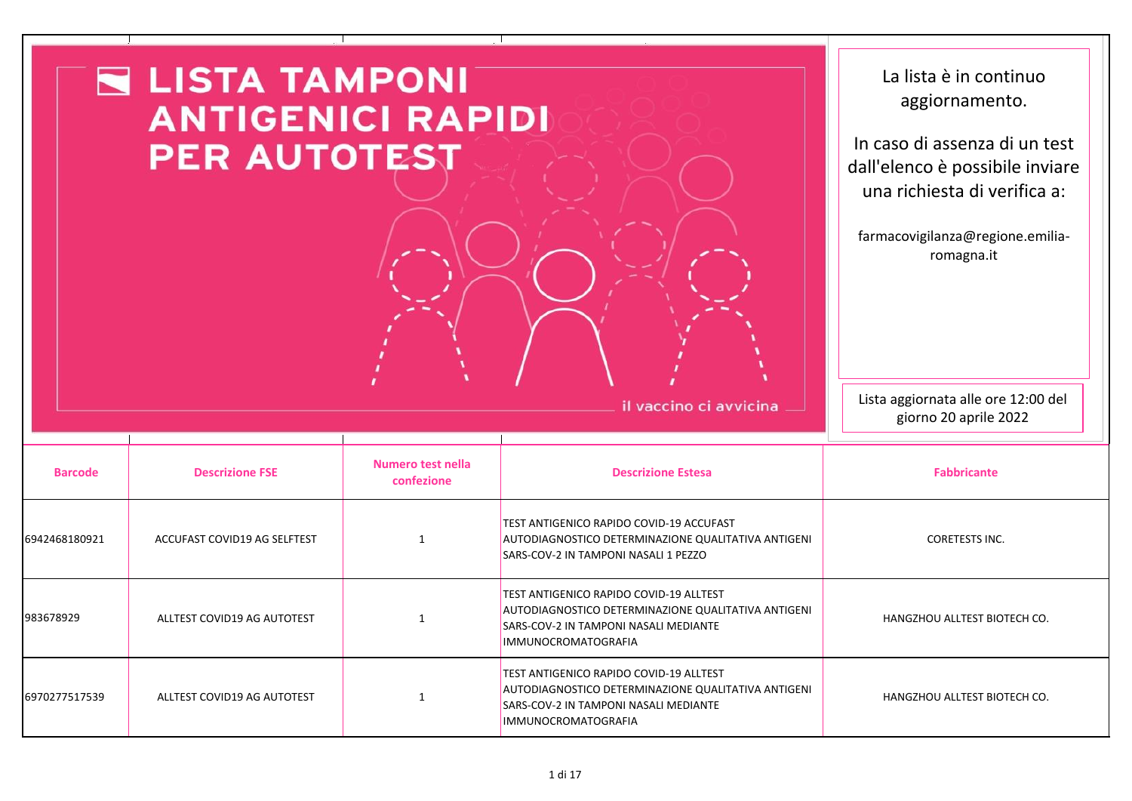|                | $\blacksquare$ LISTA TAMPONI $\bar{}$<br><b>ANTIGENICI RAPIDI</b><br><b>PER AUTOTEST</b> |                                 |                                                                                                                                                                | La lista è in continuo<br>aggiornamento.<br>In caso di assenza di un test<br>dall'elenco è possibile inviare<br>una richiesta di verifica a:<br>farmacovigilanza@regione.emilia-<br>romagna.it |
|----------------|------------------------------------------------------------------------------------------|---------------------------------|----------------------------------------------------------------------------------------------------------------------------------------------------------------|------------------------------------------------------------------------------------------------------------------------------------------------------------------------------------------------|
|                |                                                                                          |                                 | il vaccino ci avvicina                                                                                                                                         | Lista aggiornata alle ore 12:00 del<br>giorno 20 aprile 2022                                                                                                                                   |
| <b>Barcode</b> | <b>Descrizione FSE</b>                                                                   | Numero test nella<br>confezione | <b>Descrizione Estesa</b>                                                                                                                                      | <b>Fabbricante</b>                                                                                                                                                                             |
| 6942468180921  | ACCUFAST COVID19 AG SELFTEST                                                             | 1                               | TEST ANTIGENICO RAPIDO COVID-19 ACCUFAST<br>AUTODIAGNOSTICO DETERMINAZIONE QUALITATIVA ANTIGENI<br>SARS-COV-2 IN TAMPONI NASALI 1 PEZZO                        | <b>CORETESTS INC.</b>                                                                                                                                                                          |
| 983678929      | ALLTEST COVID19 AG AUTOTEST                                                              | -1                              | TEST ANTIGENICO RAPIDO COVID-19 ALLTEST<br>AUTODIAGNOSTICO DETERMINAZIONE QUALITATIVA ANTIGENI<br>SARS-COV-2 IN TAMPONI NASALI MEDIANTE<br>IMMUNOCROMATOGRAFIA | HANGZHOU ALLTEST BIOTECH CO.                                                                                                                                                                   |
| 6970277517539  | ALLTEST COVID19 AG AUTOTEST                                                              | $\mathbf{1}$                    | TEST ANTIGENICO RAPIDO COVID-19 ALLTEST<br>AUTODIAGNOSTICO DETERMINAZIONE QUALITATIVA ANTIGENI<br>SARS-COV-2 IN TAMPONI NASALI MEDIANTE<br>IMMUNOCROMATOGRAFIA | HANGZHOU ALLTEST BIOTECH CO.                                                                                                                                                                   |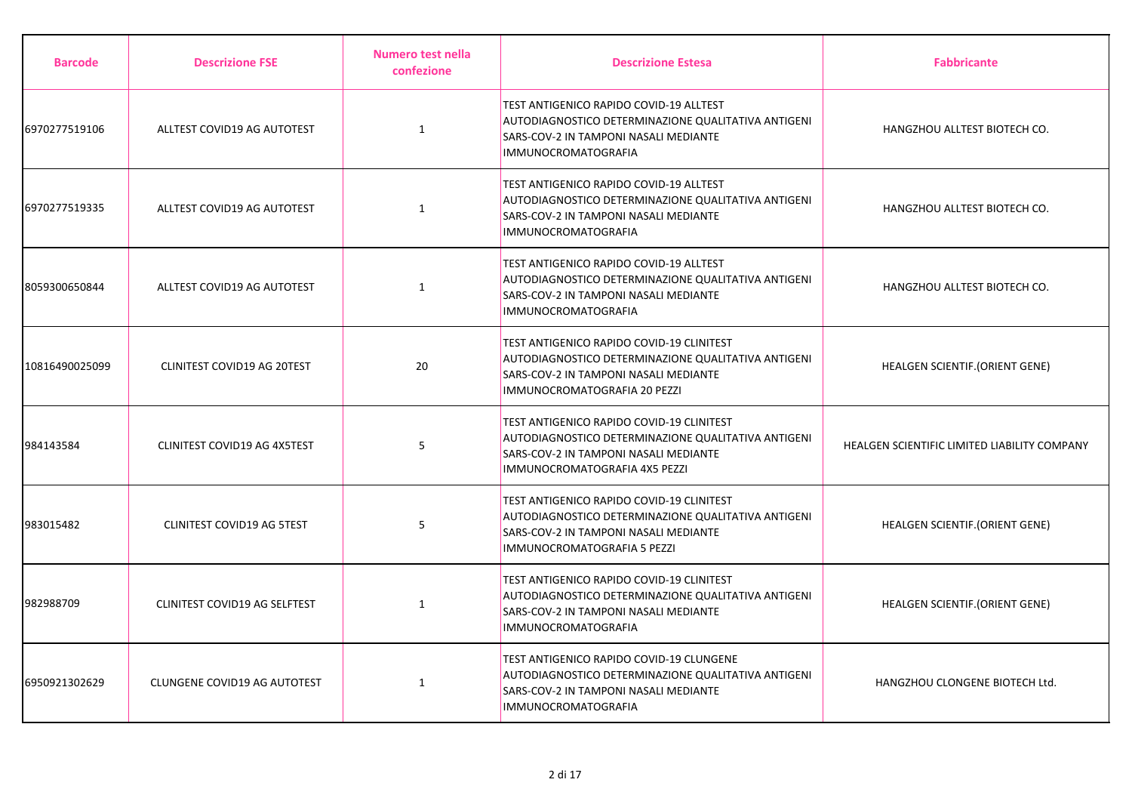| <b>Barcode</b> | <b>Descrizione FSE</b>        | Numero test nella<br>confezione | <b>Descrizione Estesa</b>                                                                                                                                                    | <b>Fabbricante</b>                           |
|----------------|-------------------------------|---------------------------------|------------------------------------------------------------------------------------------------------------------------------------------------------------------------------|----------------------------------------------|
| 6970277519106  | ALLTEST COVID19 AG AUTOTEST   | $\mathbf{1}$                    | TEST ANTIGENICO RAPIDO COVID-19 ALLTEST<br>AUTODIAGNOSTICO DETERMINAZIONE QUALITATIVA ANTIGENI<br>SARS-COV-2 IN TAMPONI NASALI MEDIANTE<br><b>IMMUNOCROMATOGRAFIA</b>        | HANGZHOU ALLTEST BIOTECH CO.                 |
| 6970277519335  | ALLTEST COVID19 AG AUTOTEST   | $\mathbf{1}$                    | TEST ANTIGENICO RAPIDO COVID-19 ALLTEST<br>AUTODIAGNOSTICO DETERMINAZIONE QUALITATIVA ANTIGENI<br>SARS-COV-2 IN TAMPONI NASALI MEDIANTE<br>IMMUNOCROMATOGRAFIA               | HANGZHOU ALLTEST BIOTECH CO.                 |
| 8059300650844  | ALLTEST COVID19 AG AUTOTEST   | $\mathbf{1}$                    | <b>TEST ANTIGENICO RAPIDO COVID-19 ALLTEST</b><br>AUTODIAGNOSTICO DETERMINAZIONE QUALITATIVA ANTIGENI<br>SARS-COV-2 IN TAMPONI NASALI MEDIANTE<br><b>IMMUNOCROMATOGRAFIA</b> | HANGZHOU ALLTEST BIOTECH CO.                 |
| 10816490025099 | CLINITEST COVID19 AG 20TEST   | 20                              | TEST ANTIGENICO RAPIDO COVID-19 CLINITEST<br>AUTODIAGNOSTICO DETERMINAZIONE QUALITATIVA ANTIGENI<br>SARS-COV-2 IN TAMPONI NASALI MEDIANTE<br>IMMUNOCROMATOGRAFIA 20 PEZZI    | HEALGEN SCIENTIF.(ORIENT GENE)               |
| 984143584      | CLINITEST COVID19 AG 4X5TEST  | 5                               | TEST ANTIGENICO RAPIDO COVID-19 CLINITEST<br>AUTODIAGNOSTICO DETERMINAZIONE QUALITATIVA ANTIGENI<br>SARS-COV-2 IN TAMPONI NASALI MEDIANTE<br>IMMUNOCROMATOGRAFIA 4X5 PEZZI   | HEALGEN SCIENTIFIC LIMITED LIABILITY COMPANY |
| 983015482      | CLINITEST COVID19 AG 5TEST    | 5                               | TEST ANTIGENICO RAPIDO COVID-19 CLINITEST<br>AUTODIAGNOSTICO DETERMINAZIONE QUALITATIVA ANTIGENI<br>SARS-COV-2 IN TAMPONI NASALI MEDIANTE<br>IMMUNOCROMATOGRAFIA 5 PEZZI     | <b>HEALGEN SCIENTIF.(ORIENT GENE)</b>        |
| 982988709      | CLINITEST COVID19 AG SELFTEST | $\mathbf{1}$                    | TEST ANTIGENICO RAPIDO COVID-19 CLINITEST<br>AUTODIAGNOSTICO DETERMINAZIONE QUALITATIVA ANTIGENI<br>SARS-COV-2 IN TAMPONI NASALI MEDIANTE<br>IMMUNOCROMATOGRAFIA             | HEALGEN SCIENTIF.(ORIENT GENE)               |
| 6950921302629  | CLUNGENE COVID19 AG AUTOTEST  | 1                               | TEST ANTIGENICO RAPIDO COVID-19 CLUNGENE<br>AUTODIAGNOSTICO DETERMINAZIONE QUALITATIVA ANTIGENI<br>SARS-COV-2 IN TAMPONI NASALI MEDIANTE<br>IMMUNOCROMATOGRAFIA              | HANGZHOU CLONGENE BIOTECH Ltd.               |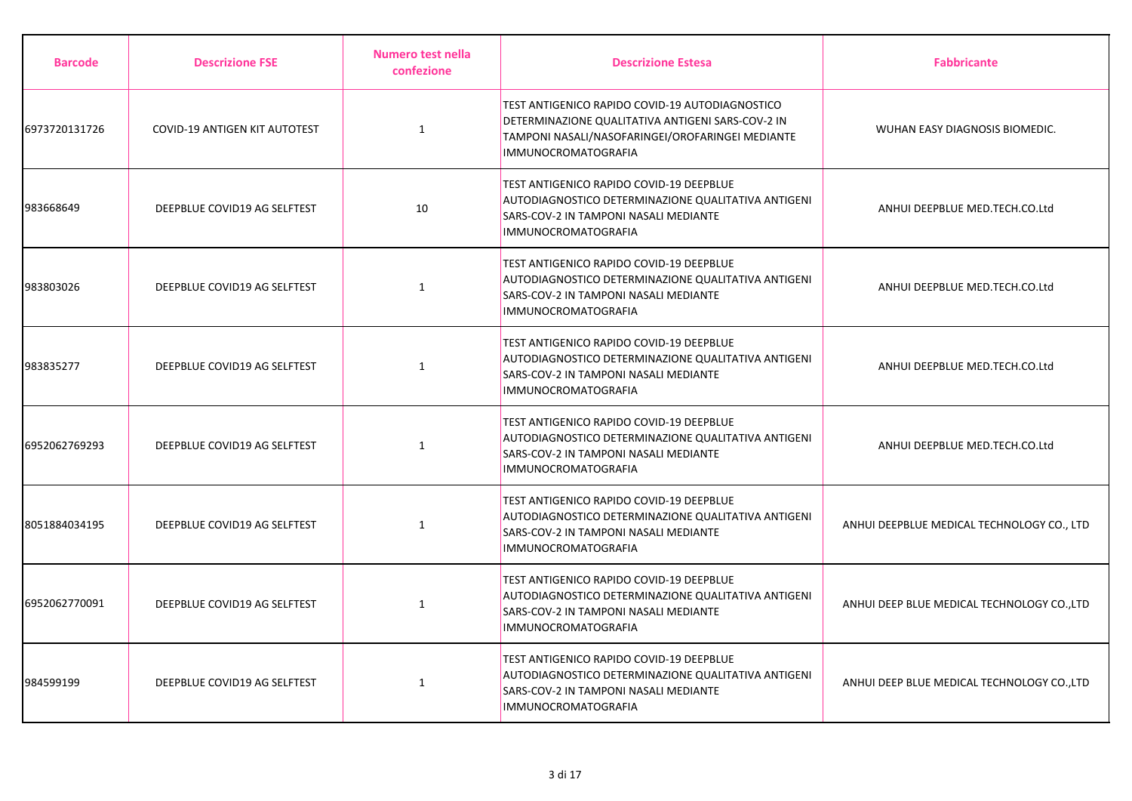| <b>Barcode</b> | <b>Descrizione FSE</b>        | Numero test nella<br>confezione | <b>Descrizione Estesa</b>                                                                                                                                                              | <b>Fabbricante</b>                          |
|----------------|-------------------------------|---------------------------------|----------------------------------------------------------------------------------------------------------------------------------------------------------------------------------------|---------------------------------------------|
| 6973720131726  | COVID-19 ANTIGEN KIT AUTOTEST | $\mathbf{1}$                    | TEST ANTIGENICO RAPIDO COVID-19 AUTODIAGNOSTICO<br>DETERMINAZIONE QUALITATIVA ANTIGENI SARS-COV-2 IN<br>TAMPONI NASALI/NASOFARINGEI/OROFARINGEI MEDIANTE<br><b>IMMUNOCROMATOGRAFIA</b> | WUHAN EASY DIAGNOSIS BIOMEDIC.              |
| 983668649      | DEEPBLUE COVID19 AG SELFTEST  | 10                              | <b>TEST ANTIGENICO RAPIDO COVID-19 DEEPBLUE</b><br>AUTODIAGNOSTICO DETERMINAZIONE QUALITATIVA ANTIGENI<br>SARS-COV-2 IN TAMPONI NASALI MEDIANTE<br><b>IMMUNOCROMATOGRAFIA</b>          | ANHUI DEEPBLUE MED.TECH.CO.Ltd              |
| 983803026      | DEEPBLUE COVID19 AG SELFTEST  | 1                               | <b>TEST ANTIGENICO RAPIDO COVID-19 DEEPBLUE</b><br>AUTODIAGNOSTICO DETERMINAZIONE QUALITATIVA ANTIGENI<br>SARS-COV-2 IN TAMPONI NASALI MEDIANTE<br><b>IMMUNOCROMATOGRAFIA</b>          | ANHUI DEEPBLUE MED.TECH.CO.Ltd              |
| 983835277      | DEEPBLUE COVID19 AG SELFTEST  | 1                               | TEST ANTIGENICO RAPIDO COVID-19 DEEPBLUE<br>AUTODIAGNOSTICO DETERMINAZIONE QUALITATIVA ANTIGENI<br>SARS-COV-2 IN TAMPONI NASALI MEDIANTE<br><b>IMMUNOCROMATOGRAFIA</b>                 | ANHUI DEEPBLUE MED.TECH.CO.Ltd              |
| 6952062769293  | DEEPBLUE COVID19 AG SELFTEST  | 1                               | <b>TEST ANTIGENICO RAPIDO COVID-19 DEEPBLUE</b><br>AUTODIAGNOSTICO DETERMINAZIONE QUALITATIVA ANTIGENI<br>SARS-COV-2 IN TAMPONI NASALI MEDIANTE<br><b>IMMUNOCROMATOGRAFIA</b>          | ANHUI DEEPBLUE MED.TECH.CO.Ltd              |
| 8051884034195  | DEEPBLUE COVID19 AG SELFTEST  | $\mathbf{1}$                    | <b>TEST ANTIGENICO RAPIDO COVID-19 DEEPBLUE</b><br>AUTODIAGNOSTICO DETERMINAZIONE QUALITATIVA ANTIGENI<br>SARS-COV-2 IN TAMPONI NASALI MEDIANTE<br><b>IMMUNOCROMATOGRAFIA</b>          | ANHUI DEEPBLUE MEDICAL TECHNOLOGY CO., LTD  |
| 6952062770091  | DEEPBLUE COVID19 AG SELFTEST  | $\mathbf{1}$                    | TEST ANTIGENICO RAPIDO COVID-19 DEEPBLUE<br>AUTODIAGNOSTICO DETERMINAZIONE QUALITATIVA ANTIGENI<br>SARS-COV-2 IN TAMPONI NASALI MEDIANTE<br><b>IMMUNOCROMATOGRAFIA</b>                 | ANHUI DEEP BLUE MEDICAL TECHNOLOGY CO., LTD |
| 984599199      | DEEPBLUE COVID19 AG SELFTEST  | $\mathbf{1}$                    | <b>TEST ANTIGENICO RAPIDO COVID-19 DEEPBLUE</b><br>AUTODIAGNOSTICO DETERMINAZIONE QUALITATIVA ANTIGENI<br>SARS-COV-2 IN TAMPONI NASALI MEDIANTE<br><b>IMMUNOCROMATOGRAFIA</b>          | ANHUI DEEP BLUE MEDICAL TECHNOLOGY CO., LTD |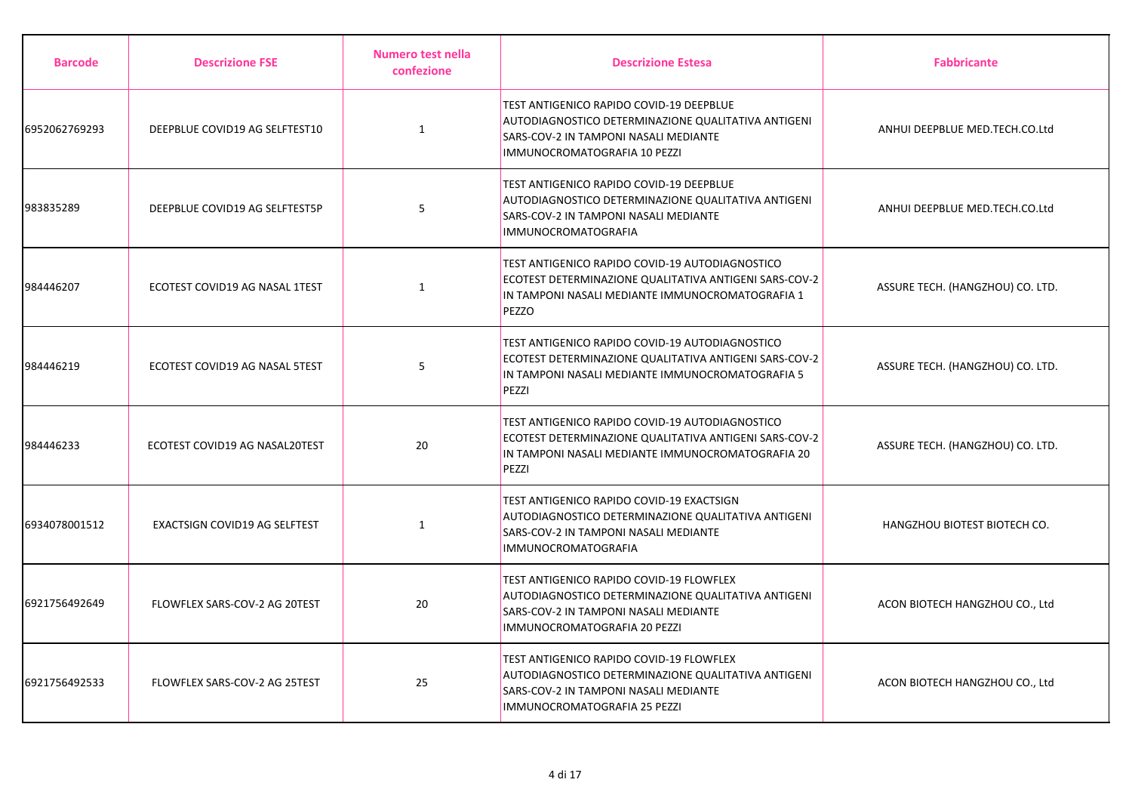| <b>Barcode</b> | <b>Descrizione FSE</b>         | Numero test nella<br>confezione | <b>Descrizione Estesa</b>                                                                                                                                                      | <b>Fabbricante</b>               |
|----------------|--------------------------------|---------------------------------|--------------------------------------------------------------------------------------------------------------------------------------------------------------------------------|----------------------------------|
| 6952062769293  | DEEPBLUE COVID19 AG SELFTEST10 | $\mathbf{1}$                    | TEST ANTIGENICO RAPIDO COVID-19 DEEPBLUE<br>AUTODIAGNOSTICO DETERMINAZIONE QUALITATIVA ANTIGENI<br>SARS-COV-2 IN TAMPONI NASALI MEDIANTE<br>IMMUNOCROMATOGRAFIA 10 PEZZI       | ANHUI DEEPBLUE MED.TECH.CO.Ltd   |
| 983835289      | DEEPBLUE COVID19 AG SELFTEST5P | 5                               | <b>TEST ANTIGENICO RAPIDO COVID-19 DEEPBLUE</b><br>AUTODIAGNOSTICO DETERMINAZIONE QUALITATIVA ANTIGENI<br>SARS-COV-2 IN TAMPONI NASALI MEDIANTE<br><b>IMMUNOCROMATOGRAFIA</b>  | ANHUI DEEPBLUE MED.TECH.CO.Ltd   |
| 984446207      | ECOTEST COVID19 AG NASAL 1TEST | $\mathbf{1}$                    | TEST ANTIGENICO RAPIDO COVID-19 AUTODIAGNOSTICO<br>ECOTEST DETERMINAZIONE QUALITATIVA ANTIGENI SARS-COV-2<br>IN TAMPONI NASALI MEDIANTE IMMUNOCROMATOGRAFIA 1<br>PEZZO         | ASSURE TECH. (HANGZHOU) CO. LTD. |
| 984446219      | ECOTEST COVID19 AG NASAL 5TEST | 5                               | TEST ANTIGENICO RAPIDO COVID-19 AUTODIAGNOSTICO<br>ECOTEST DETERMINAZIONE QUALITATIVA ANTIGENI SARS-COV-2<br>IN TAMPONI NASALI MEDIANTE IMMUNOCROMATOGRAFIA 5<br>PEZZI         | ASSURE TECH. (HANGZHOU) CO. LTD. |
| 984446233      | ECOTEST COVID19 AG NASAL20TEST | 20                              | TEST ANTIGENICO RAPIDO COVID-19 AUTODIAGNOSTICO<br>ECOTEST DETERMINAZIONE QUALITATIVA ANTIGENI SARS-COV-2<br>IN TAMPONI NASALI MEDIANTE IMMUNOCROMATOGRAFIA 20<br>PEZZI        | ASSURE TECH. (HANGZHOU) CO. LTD. |
| 6934078001512  | EXACTSIGN COVID19 AG SELFTEST  | 1                               | TEST ANTIGENICO RAPIDO COVID-19 EXACTSIGN<br><b>AUTODIAGNOSTICO DETERMINAZIONE QUALITATIVA ANTIGENI</b><br>SARS-COV-2 IN TAMPONI NASALI MEDIANTE<br><b>IMMUNOCROMATOGRAFIA</b> | HANGZHOU BIOTEST BIOTECH CO.     |
| 6921756492649  | FLOWFLEX SARS-COV-2 AG 20TEST  | 20                              | TEST ANTIGENICO RAPIDO COVID-19 FLOWFLEX<br>AUTODIAGNOSTICO DETERMINAZIONE QUALITATIVA ANTIGENI<br>SARS-COV-2 IN TAMPONI NASALI MEDIANTE<br>IMMUNOCROMATOGRAFIA 20 PEZZI       | ACON BIOTECH HANGZHOU CO., Ltd   |
| 6921756492533  | FLOWFLEX SARS-COV-2 AG 25TEST  | 25                              | TEST ANTIGENICO RAPIDO COVID-19 FLOWFLEX<br>AUTODIAGNOSTICO DETERMINAZIONE QUALITATIVA ANTIGENI<br>SARS-COV-2 IN TAMPONI NASALI MEDIANTE<br>IMMUNOCROMATOGRAFIA 25 PEZZI       | ACON BIOTECH HANGZHOU CO., Ltd   |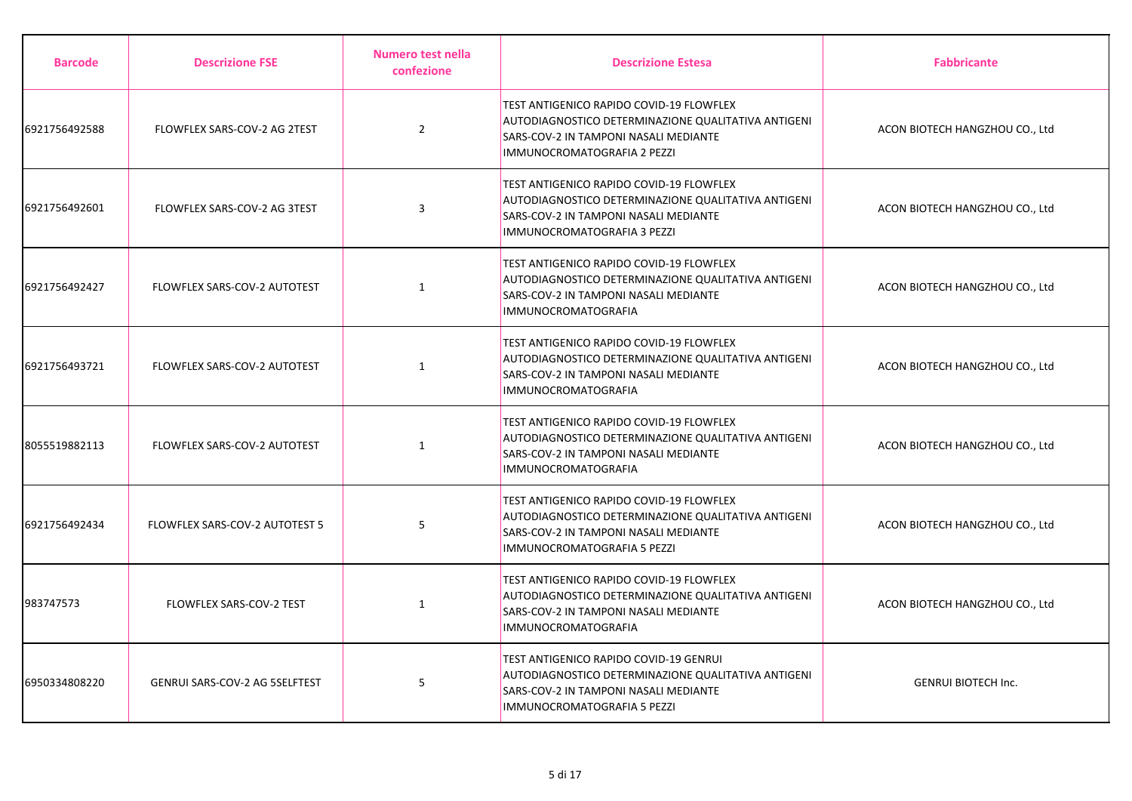| <b>Barcode</b> | <b>Descrizione FSE</b>         | Numero test nella<br>confezione | <b>Descrizione Estesa</b>                                                                                                                                                             | <b>Fabbricante</b>             |
|----------------|--------------------------------|---------------------------------|---------------------------------------------------------------------------------------------------------------------------------------------------------------------------------------|--------------------------------|
| 6921756492588  | FLOWFLEX SARS-COV-2 AG 2TEST   | $\overline{2}$                  | <b>TEST ANTIGENICO RAPIDO COVID-19 FLOWFLEX</b><br>AUTODIAGNOSTICO DETERMINAZIONE QUALITATIVA ANTIGENI<br>SARS-COV-2 IN TAMPONI NASALI MEDIANTE<br><b>IMMUNOCROMATOGRAFIA 2 PEZZI</b> | ACON BIOTECH HANGZHOU CO., Ltd |
| 6921756492601  | FLOWFLEX SARS-COV-2 AG 3TEST   | 3                               | TEST ANTIGENICO RAPIDO COVID-19 FLOWFLEX<br>AUTODIAGNOSTICO DETERMINAZIONE QUALITATIVA ANTIGENI<br>SARS-COV-2 IN TAMPONI NASALI MEDIANTE<br>IMMUNOCROMATOGRAFIA 3 PEZZI               | ACON BIOTECH HANGZHOU CO., Ltd |
| 6921756492427  | FLOWFLEX SARS-COV-2 AUTOTEST   | $\mathbf{1}$                    | <b>TEST ANTIGENICO RAPIDO COVID-19 FLOWFLEX</b><br>AUTODIAGNOSTICO DETERMINAZIONE QUALITATIVA ANTIGENI<br>SARS-COV-2 IN TAMPONI NASALI MEDIANTE<br><b>IMMUNOCROMATOGRAFIA</b>         | ACON BIOTECH HANGZHOU CO., Ltd |
| 6921756493721  | FLOWFLEX SARS-COV-2 AUTOTEST   | $\mathbf{1}$                    | TEST ANTIGENICO RAPIDO COVID-19 FLOWFLEX<br>AUTODIAGNOSTICO DETERMINAZIONE QUALITATIVA ANTIGENI<br>SARS-COV-2 IN TAMPONI NASALI MEDIANTE<br><b>IMMUNOCROMATOGRAFIA</b>                | ACON BIOTECH HANGZHOU CO., Ltd |
| 8055519882113  | FLOWFLEX SARS-COV-2 AUTOTEST   | 1                               | <b>TEST ANTIGENICO RAPIDO COVID-19 FLOWFLEX</b><br>AUTODIAGNOSTICO DETERMINAZIONE QUALITATIVA ANTIGENI<br>SARS-COV-2 IN TAMPONI NASALI MEDIANTE<br>IMMUNOCROMATOGRAFIA                | ACON BIOTECH HANGZHOU CO., Ltd |
| 6921756492434  | FLOWFLEX SARS-COV-2 AUTOTEST 5 | 5                               | TEST ANTIGENICO RAPIDO COVID-19 FLOWFLEX<br>AUTODIAGNOSTICO DETERMINAZIONE QUALITATIVA ANTIGENI<br>SARS-COV-2 IN TAMPONI NASALI MEDIANTE<br>IMMUNOCROMATOGRAFIA 5 PEZZI               | ACON BIOTECH HANGZHOU CO., Ltd |
| 983747573      | FLOWFLEX SARS-COV-2 TEST       | $\mathbf{1}$                    | TEST ANTIGENICO RAPIDO COVID-19 FLOWFLEX<br>AUTODIAGNOSTICO DETERMINAZIONE QUALITATIVA ANTIGENI<br>SARS-COV-2 IN TAMPONI NASALI MEDIANTE<br>IMMUNOCROMATOGRAFIA                       | ACON BIOTECH HANGZHOU CO., Ltd |
| 6950334808220  | GENRUI SARS-COV-2 AG 5SELFTEST | 5                               | TEST ANTIGENICO RAPIDO COVID-19 GENRUI<br>AUTODIAGNOSTICO DETERMINAZIONE QUALITATIVA ANTIGENI<br>SARS-COV-2 IN TAMPONI NASALI MEDIANTE<br>IMMUNOCROMATOGRAFIA 5 PEZZI                 | <b>GENRUI BIOTECH Inc.</b>     |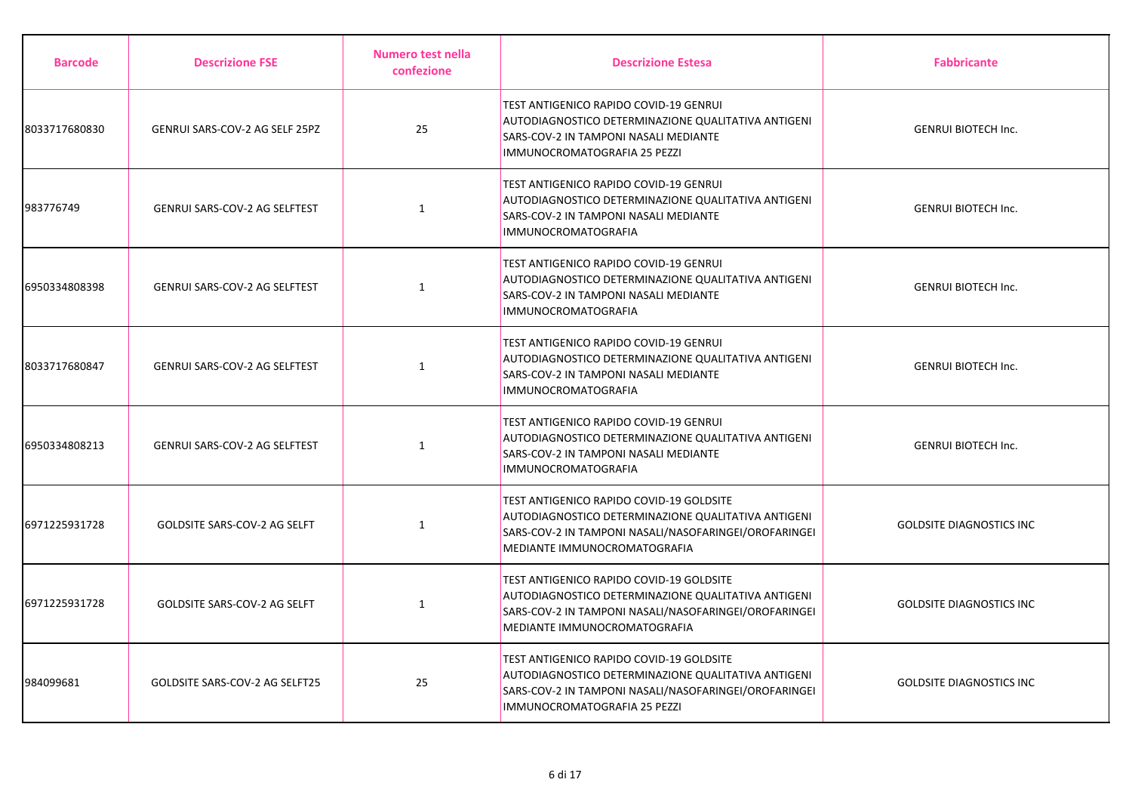| <b>Barcode</b> | <b>Descrizione FSE</b>              | Numero test nella<br>confezione | <b>Descrizione Estesa</b>                                                                                                                                                                       | <b>Fabbricante</b>              |
|----------------|-------------------------------------|---------------------------------|-------------------------------------------------------------------------------------------------------------------------------------------------------------------------------------------------|---------------------------------|
| 8033717680830  | GENRUI SARS-COV-2 AG SELF 25PZ      | 25                              | TEST ANTIGENICO RAPIDO COVID-19 GENRUI<br>AUTODIAGNOSTICO DETERMINAZIONE QUALITATIVA ANTIGENI<br>SARS-COV-2 IN TAMPONI NASALI MEDIANTE<br>IMMUNOCROMATOGRAFIA 25 PEZZI                          | <b>GENRUI BIOTECH Inc.</b>      |
| 983776749      | GENRUI SARS-COV-2 AG SELFTEST       | $\mathbf{1}$                    | TEST ANTIGENICO RAPIDO COVID-19 GENRUI<br>AUTODIAGNOSTICO DETERMINAZIONE QUALITATIVA ANTIGENI<br>SARS-COV-2 IN TAMPONI NASALI MEDIANTE<br><b>IMMUNOCROMATOGRAFIA</b>                            | <b>GENRUI BIOTECH Inc.</b>      |
| 6950334808398  | GENRUI SARS-COV-2 AG SELFTEST       | $\mathbf{1}$                    | <b>TEST ANTIGENICO RAPIDO COVID-19 GENRUI</b><br>AUTODIAGNOSTICO DETERMINAZIONE QUALITATIVA ANTIGENI<br><b>SARS-COV-2 IN TAMPONI NASALI MEDIANTE</b><br><b>IMMUNOCROMATOGRAFIA</b>              | <b>GENRUI BIOTECH Inc.</b>      |
| 8033717680847  | GENRUI SARS-COV-2 AG SELFTEST       | $\mathbf{1}$                    | TEST ANTIGENICO RAPIDO COVID-19 GENRUI<br>AUTODIAGNOSTICO DETERMINAZIONE QUALITATIVA ANTIGENI<br>SARS-COV-2 IN TAMPONI NASALI MEDIANTE<br>IMMUNOCROMATOGRAFIA                                   | <b>GENRUI BIOTECH Inc.</b>      |
| 6950334808213  | GENRUI SARS-COV-2 AG SELFTEST       | $\mathbf{1}$                    | <b>TEST ANTIGENICO RAPIDO COVID-19 GENRUI</b><br>AUTODIAGNOSTICO DETERMINAZIONE QUALITATIVA ANTIGENI<br>SARS-COV-2 IN TAMPONI NASALI MEDIANTE<br><b>IMMUNOCROMATOGRAFIA</b>                     | <b>GENRUI BIOTECH Inc.</b>      |
| 6971225931728  | <b>GOLDSITE SARS-COV-2 AG SELFT</b> | $\mathbf{1}$                    | TEST ANTIGENICO RAPIDO COVID-19 GOLDSITE<br>AUTODIAGNOSTICO DETERMINAZIONE QUALITATIVA ANTIGENI<br>SARS-COV-2 IN TAMPONI NASALI/NASOFARINGEI/OROFARINGEI<br>MEDIANTE IMMUNOCROMATOGRAFIA        | <b>GOLDSITE DIAGNOSTICS INC</b> |
| 6971225931728  | GOLDSITE SARS-COV-2 AG SELFT        | $\mathbf{1}$                    | <b>TEST ANTIGENICO RAPIDO COVID-19 GOLDSITE</b><br>AUTODIAGNOSTICO DETERMINAZIONE QUALITATIVA ANTIGENI<br>SARS-COV-2 IN TAMPONI NASALI/NASOFARINGEI/OROFARINGEI<br>MEDIANTE IMMUNOCROMATOGRAFIA | <b>GOLDSITE DIAGNOSTICS INC</b> |
| 984099681      | GOLDSITE SARS-COV-2 AG SELFT25      | 25                              | <b>TEST ANTIGENICO RAPIDO COVID-19 GOLDSITE</b><br>AUTODIAGNOSTICO DETERMINAZIONE QUALITATIVA ANTIGENI<br>SARS-COV-2 IN TAMPONI NASALI/NASOFARINGEI/OROFARINGEI<br>IMMUNOCROMATOGRAFIA 25 PEZZI | <b>GOLDSITE DIAGNOSTICS INC</b> |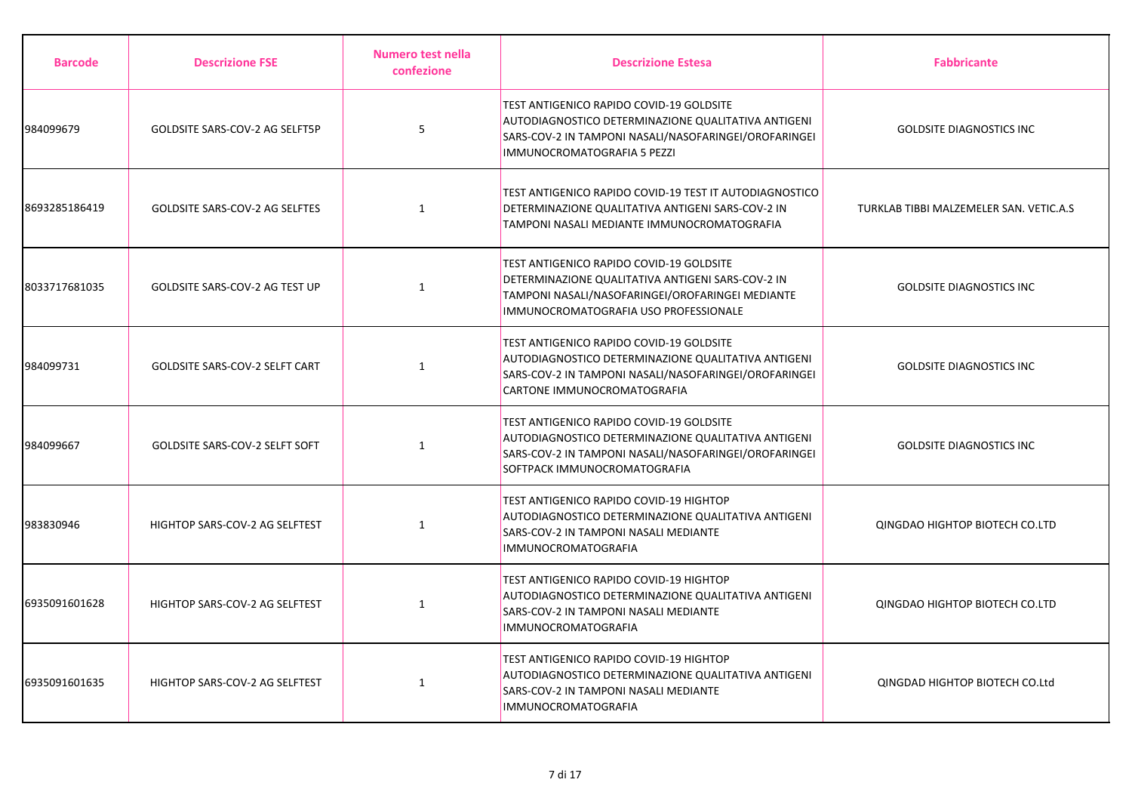| <b>Barcode</b> | <b>Descrizione FSE</b>         | Numero test nella<br>confezione | <b>Descrizione Estesa</b>                                                                                                                                                                             | <b>Fabbricante</b>                      |
|----------------|--------------------------------|---------------------------------|-------------------------------------------------------------------------------------------------------------------------------------------------------------------------------------------------------|-----------------------------------------|
| 984099679      | GOLDSITE SARS-COV-2 AG SELFT5P | 5                               | <b>TEST ANTIGENICO RAPIDO COVID-19 GOLDSITE</b><br>AUTODIAGNOSTICO DETERMINAZIONE QUALITATIVA ANTIGENI<br>SARS-COV-2 IN TAMPONI NASALI/NASOFARINGEI/OROFARINGEI<br><b>IMMUNOCROMATOGRAFIA 5 PEZZI</b> | <b>GOLDSITE DIAGNOSTICS INC</b>         |
| 8693285186419  | GOLDSITE SARS-COV-2 AG SELFTES | $\mathbf{1}$                    | TEST ANTIGENICO RAPIDO COVID-19 TEST IT AUTODIAGNOSTICO<br>DETERMINAZIONE QUALITATIVA ANTIGENI SARS-COV-2 IN<br>TAMPONI NASALI MEDIANTE IMMUNOCROMATOGRAFIA                                           | TURKLAB TIBBI MALZEMELER SAN. VETIC.A.S |
| 8033717681035  | GOLDSITE SARS-COV-2 AG TEST UP | 1                               | <b>TEST ANTIGENICO RAPIDO COVID-19 GOLDSITE</b><br>DETERMINAZIONE QUALITATIVA ANTIGENI SARS-COV-2 IN<br>TAMPONI NASALI/NASOFARINGEI/OROFARINGEI MEDIANTE<br>IMMUNOCROMATOGRAFIA USO PROFESSIONALE     | <b>GOLDSITE DIAGNOSTICS INC</b>         |
| 984099731      | GOLDSITE SARS-COV-2 SELFT CART | $\mathbf{1}$                    | <b>TEST ANTIGENICO RAPIDO COVID-19 GOLDSITE</b><br>AUTODIAGNOSTICO DETERMINAZIONE QUALITATIVA ANTIGENI<br>SARS-COV-2 IN TAMPONI NASALI/NASOFARINGEI/OROFARINGEI<br>CARTONE IMMUNOCROMATOGRAFIA        | <b>GOLDSITE DIAGNOSTICS INC</b>         |
| 984099667      | GOLDSITE SARS-COV-2 SELFT SOFT | $\mathbf{1}$                    | TEST ANTIGENICO RAPIDO COVID-19 GOLDSITE<br>AUTODIAGNOSTICO DETERMINAZIONE QUALITATIVA ANTIGENI<br>SARS-COV-2 IN TAMPONI NASALI/NASOFARINGEI/OROFARINGEI<br>SOFTPACK IMMUNOCROMATOGRAFIA              | <b>GOLDSITE DIAGNOSTICS INC</b>         |
| 983830946      | HIGHTOP SARS-COV-2 AG SELFTEST | $\mathbf{1}$                    | TEST ANTIGENICO RAPIDO COVID-19 HIGHTOP<br>AUTODIAGNOSTICO DETERMINAZIONE QUALITATIVA ANTIGENI<br>SARS-COV-2 IN TAMPONI NASALI MEDIANTE<br><b>IMMUNOCROMATOGRAFIA</b>                                 | QINGDAO HIGHTOP BIOTECH CO.LTD          |
| 6935091601628  | HIGHTOP SARS-COV-2 AG SELFTEST | $\mathbf{1}$                    | TEST ANTIGENICO RAPIDO COVID-19 HIGHTOP<br>AUTODIAGNOSTICO DETERMINAZIONE QUALITATIVA ANTIGENI<br>SARS-COV-2 IN TAMPONI NASALI MEDIANTE<br><b>IMMUNOCROMATOGRAFIA</b>                                 | QINGDAO HIGHTOP BIOTECH CO.LTD          |
| 6935091601635  | HIGHTOP SARS-COV-2 AG SELFTEST | 1                               | TEST ANTIGENICO RAPIDO COVID-19 HIGHTOP<br>AUTODIAGNOSTICO DETERMINAZIONE QUALITATIVA ANTIGENI<br>SARS-COV-2 IN TAMPONI NASALI MEDIANTE<br>IMMUNOCROMATOGRAFIA                                        | QINGDAD HIGHTOP BIOTECH CO.Ltd          |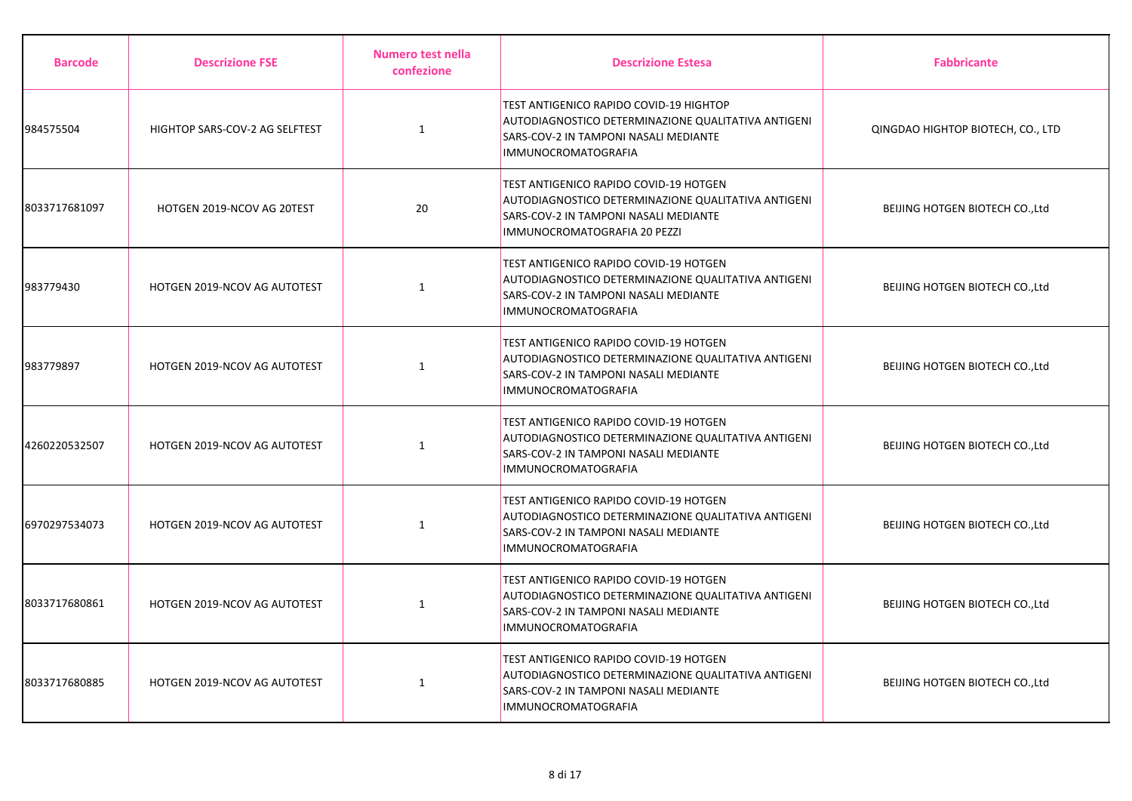| <b>Barcode</b> | <b>Descrizione FSE</b>         | Numero test nella<br>confezione | <b>Descrizione Estesa</b>                                                                                                                                              | <b>Fabbricante</b>                |
|----------------|--------------------------------|---------------------------------|------------------------------------------------------------------------------------------------------------------------------------------------------------------------|-----------------------------------|
| 984575504      | HIGHTOP SARS-COV-2 AG SELFTEST | $\mathbf{1}$                    | TEST ANTIGENICO RAPIDO COVID-19 HIGHTOP<br>AUTODIAGNOSTICO DETERMINAZIONE QUALITATIVA ANTIGENI<br>SARS-COV-2 IN TAMPONI NASALI MEDIANTE<br><b>IMMUNOCROMATOGRAFIA</b>  | QINGDAO HIGHTOP BIOTECH, CO., LTD |
| 8033717681097  | HOTGEN 2019-NCOV AG 20TEST     | 20                              | TEST ANTIGENICO RAPIDO COVID-19 HOTGEN<br>AUTODIAGNOSTICO DETERMINAZIONE QUALITATIVA ANTIGENI<br>SARS-COV-2 IN TAMPONI NASALI MEDIANTE<br>IMMUNOCROMATOGRAFIA 20 PEZZI | BEIJING HOTGEN BIOTECH CO., Ltd   |
| 983779430      | HOTGEN 2019-NCOV AG AUTOTEST   | $\mathbf{1}$                    | TEST ANTIGENICO RAPIDO COVID-19 HOTGEN<br>AUTODIAGNOSTICO DETERMINAZIONE QUALITATIVA ANTIGENI<br>SARS-COV-2 IN TAMPONI NASALI MEDIANTE<br><b>IMMUNOCROMATOGRAFIA</b>   | BEIJING HOTGEN BIOTECH CO., Ltd   |
| 983779897      | HOTGEN 2019-NCOV AG AUTOTEST   | $\mathbf{1}$                    | TEST ANTIGENICO RAPIDO COVID-19 HOTGEN<br>AUTODIAGNOSTICO DETERMINAZIONE QUALITATIVA ANTIGENI<br>SARS-COV-2 IN TAMPONI NASALI MEDIANTE<br><b>IMMUNOCROMATOGRAFIA</b>   | BEIJING HOTGEN BIOTECH CO., Ltd   |
| 4260220532507  | HOTGEN 2019-NCOV AG AUTOTEST   | 1                               | TEST ANTIGENICO RAPIDO COVID-19 HOTGEN<br>AUTODIAGNOSTICO DETERMINAZIONE QUALITATIVA ANTIGENI<br>SARS-COV-2 IN TAMPONI NASALI MEDIANTE<br><b>IMMUNOCROMATOGRAFIA</b>   | BEIJING HOTGEN BIOTECH CO., Ltd   |
| 6970297534073  | HOTGEN 2019-NCOV AG AUTOTEST   | 1                               | TEST ANTIGENICO RAPIDO COVID-19 HOTGEN<br>AUTODIAGNOSTICO DETERMINAZIONE QUALITATIVA ANTIGENI<br>SARS-COV-2 IN TAMPONI NASALI MEDIANTE<br><b>IMMUNOCROMATOGRAFIA</b>   | BEIJING HOTGEN BIOTECH CO., Ltd   |
| 8033717680861  | HOTGEN 2019-NCOV AG AUTOTEST   | $\mathbf{1}$                    | TEST ANTIGENICO RAPIDO COVID-19 HOTGEN<br>AUTODIAGNOSTICO DETERMINAZIONE QUALITATIVA ANTIGENI<br>SARS-COV-2 IN TAMPONI NASALI MEDIANTE<br><b>IMMUNOCROMATOGRAFIA</b>   | BEIJING HOTGEN BIOTECH CO., Ltd   |
| 8033717680885  | HOTGEN 2019-NCOV AG AUTOTEST   | 1                               | TEST ANTIGENICO RAPIDO COVID-19 HOTGEN<br>AUTODIAGNOSTICO DETERMINAZIONE QUALITATIVA ANTIGENI<br>SARS-COV-2 IN TAMPONI NASALI MEDIANTE<br><b>IMMUNOCROMATOGRAFIA</b>   | BEIJING HOTGEN BIOTECH CO., Ltd   |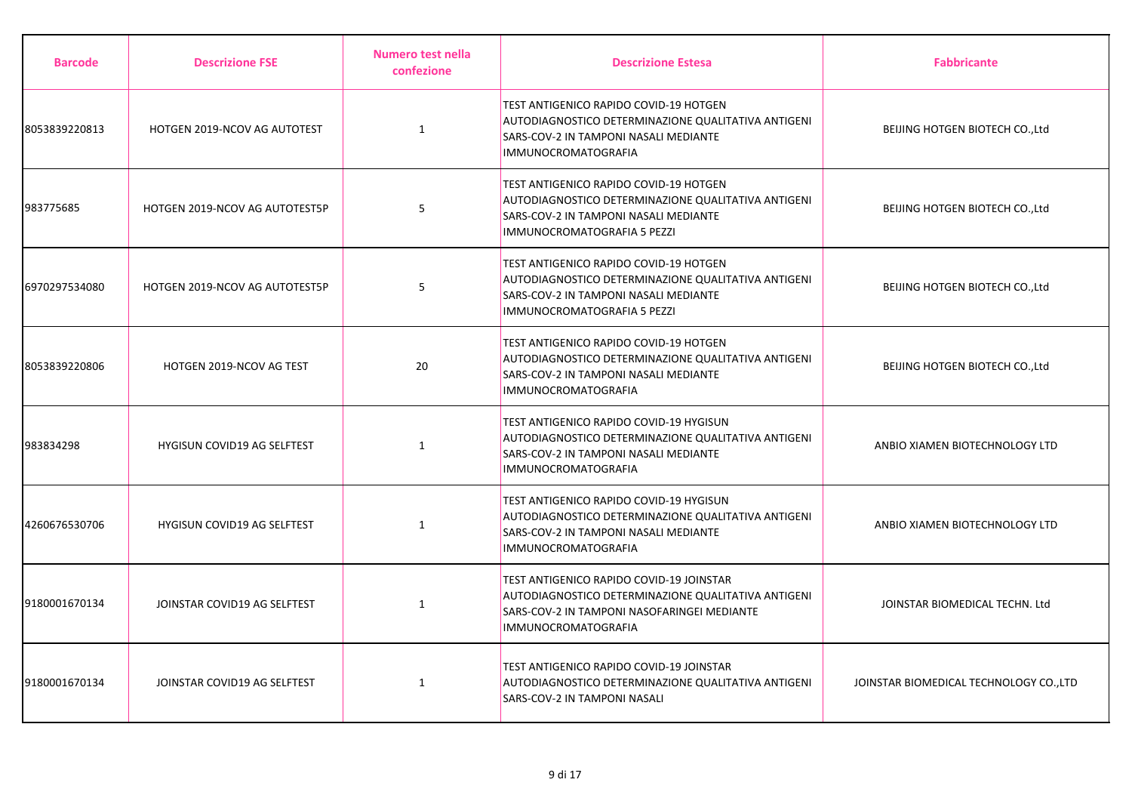| <b>Barcode</b> | <b>Descrizione FSE</b>             | Numero test nella<br>confezione | <b>Descrizione Estesa</b>                                                                                                                                                    | <b>Fabbricante</b>                      |
|----------------|------------------------------------|---------------------------------|------------------------------------------------------------------------------------------------------------------------------------------------------------------------------|-----------------------------------------|
| 8053839220813  | HOTGEN 2019-NCOV AG AUTOTEST       | $\mathbf{1}$                    | TEST ANTIGENICO RAPIDO COVID-19 HOTGEN<br>AUTODIAGNOSTICO DETERMINAZIONE QUALITATIVA ANTIGENI<br>SARS-COV-2 IN TAMPONI NASALI MEDIANTE<br><b>IMMUNOCROMATOGRAFIA</b>         | BEIJING HOTGEN BIOTECH CO., Ltd         |
| 983775685      | HOTGEN 2019-NCOV AG AUTOTEST5P     | 5                               | TEST ANTIGENICO RAPIDO COVID-19 HOTGEN<br>AUTODIAGNOSTICO DETERMINAZIONE QUALITATIVA ANTIGENI<br>SARS-COV-2 IN TAMPONI NASALI MEDIANTE<br>IMMUNOCROMATOGRAFIA 5 PEZZI        | BEIJING HOTGEN BIOTECH CO., Ltd         |
| 6970297534080  | HOTGEN 2019-NCOV AG AUTOTEST5P     | 5                               | TEST ANTIGENICO RAPIDO COVID-19 HOTGEN<br><b>AUTODIAGNOSTICO DETERMINAZIONE QUALITATIVA ANTIGENI</b><br>SARS-COV-2 IN TAMPONI NASALI MEDIANTE<br>IMMUNOCROMATOGRAFIA 5 PEZZI | BEIJING HOTGEN BIOTECH CO., Ltd         |
| 8053839220806  | HOTGEN 2019-NCOV AG TEST           | 20                              | TEST ANTIGENICO RAPIDO COVID-19 HOTGEN<br>AUTODIAGNOSTICO DETERMINAZIONE QUALITATIVA ANTIGENI<br>SARS-COV-2 IN TAMPONI NASALI MEDIANTE<br><b>IMMUNOCROMATOGRAFIA</b>         | BEIJING HOTGEN BIOTECH CO., Ltd         |
| 983834298      | <b>HYGISUN COVID19 AG SELFTEST</b> | $\mathbf{1}$                    | TEST ANTIGENICO RAPIDO COVID-19 HYGISUN<br>AUTODIAGNOSTICO DETERMINAZIONE QUALITATIVA ANTIGENI<br>SARS-COV-2 IN TAMPONI NASALI MEDIANTE<br><b>IMMUNOCROMATOGRAFIA</b>        | ANBIO XIAMEN BIOTECHNOLOGY LTD          |
| 4260676530706  | HYGISUN COVID19 AG SELFTEST        | $\mathbf{1}$                    | TEST ANTIGENICO RAPIDO COVID-19 HYGISUN<br>AUTODIAGNOSTICO DETERMINAZIONE QUALITATIVA ANTIGENI<br>SARS-COV-2 IN TAMPONI NASALI MEDIANTE<br><b>IMMUNOCROMATOGRAFIA</b>        | ANBIO XIAMEN BIOTECHNOLOGY LTD          |
| 9180001670134  | JOINSTAR COVID19 AG SELFTEST       | $\mathbf{1}$                    | TEST ANTIGENICO RAPIDO COVID-19 JOINSTAR<br>AUTODIAGNOSTICO DETERMINAZIONE QUALITATIVA ANTIGENI<br>SARS-COV-2 IN TAMPONI NASOFARINGEI MEDIANTE<br><b>IMMUNOCROMATOGRAFIA</b> | JOINSTAR BIOMEDICAL TECHN. Ltd          |
| 9180001670134  | JOINSTAR COVID19 AG SELFTEST       | 1                               | TEST ANTIGENICO RAPIDO COVID-19 JOINSTAR<br>AUTODIAGNOSTICO DETERMINAZIONE QUALITATIVA ANTIGENI<br>SARS-COV-2 IN TAMPONI NASALI                                              | JOINSTAR BIOMEDICAL TECHNOLOGY CO., LTD |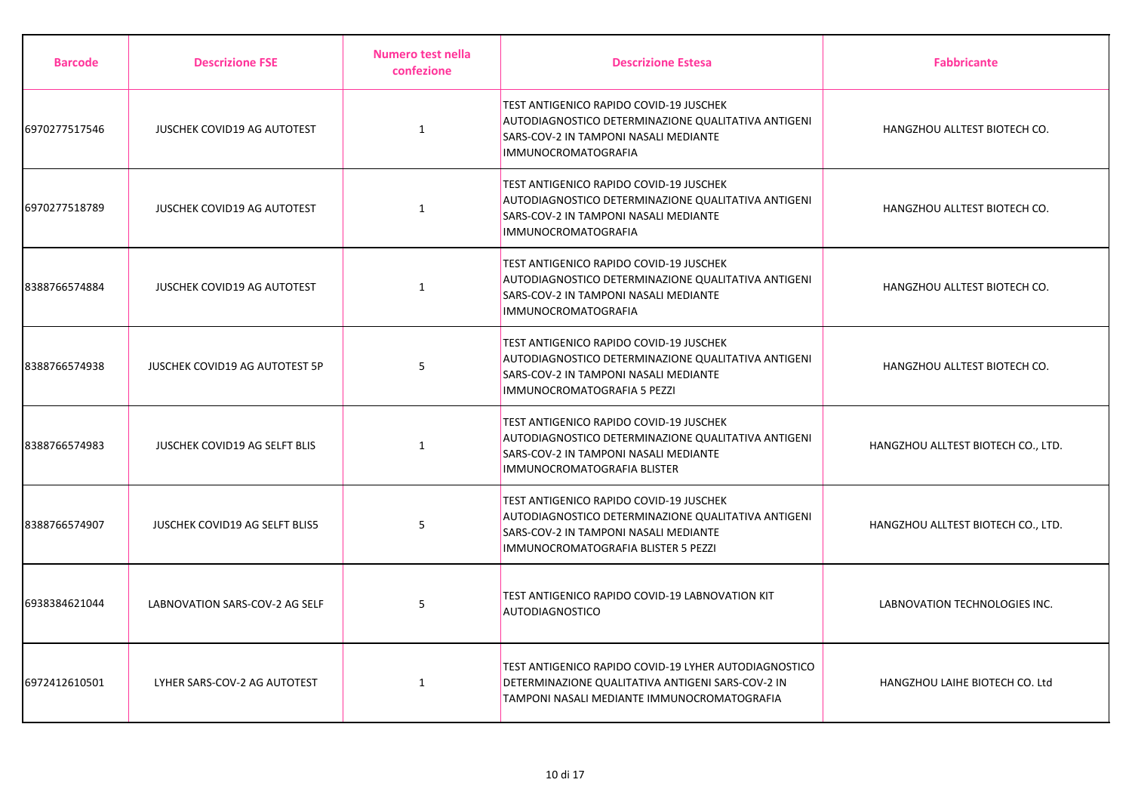| <b>Barcode</b> | <b>Descrizione FSE</b>               | <b>Numero test nella</b><br>confezione | <b>Descrizione Estesa</b>                                                                                                                                                      | <b>Fabbricante</b>                 |
|----------------|--------------------------------------|----------------------------------------|--------------------------------------------------------------------------------------------------------------------------------------------------------------------------------|------------------------------------|
| 6970277517546  | JUSCHEK COVID19 AG AUTOTEST          | $\mathbf{1}$                           | TEST ANTIGENICO RAPIDO COVID-19 JUSCHEK<br>AUTODIAGNOSTICO DETERMINAZIONE QUALITATIVA ANTIGENI<br>SARS-COV-2 IN TAMPONI NASALI MEDIANTE<br><b>IMMUNOCROMATOGRAFIA</b>          | HANGZHOU ALLTEST BIOTECH CO.       |
| 6970277518789  | JUSCHEK COVID19 AG AUTOTEST          | $\mathbf{1}$                           | TEST ANTIGENICO RAPIDO COVID-19 JUSCHEK<br>AUTODIAGNOSTICO DETERMINAZIONE QUALITATIVA ANTIGENI<br>SARS-COV-2 IN TAMPONI NASALI MEDIANTE<br><b>IMMUNOCROMATOGRAFIA</b>          | HANGZHOU ALLTEST BIOTECH CO.       |
| 8388766574884  | JUSCHEK COVID19 AG AUTOTEST          | $\mathbf{1}$                           | TEST ANTIGENICO RAPIDO COVID-19 JUSCHEK<br>AUTODIAGNOSTICO DETERMINAZIONE QUALITATIVA ANTIGENI<br>SARS-COV-2 IN TAMPONI NASALI MEDIANTE<br><b>IMMUNOCROMATOGRAFIA</b>          | HANGZHOU ALLTEST BIOTECH CO.       |
| 8388766574938  | JUSCHEK COVID19 AG AUTOTEST 5P       | 5                                      | TEST ANTIGENICO RAPIDO COVID-19 JUSCHEK<br>AUTODIAGNOSTICO DETERMINAZIONE QUALITATIVA ANTIGENI<br>SARS-COV-2 IN TAMPONI NASALI MEDIANTE<br>IMMUNOCROMATOGRAFIA 5 PEZZI         | HANGZHOU ALLTEST BIOTECH CO.       |
| 8388766574983  | <b>JUSCHEK COVID19 AG SELFT BLIS</b> | 1                                      | TEST ANTIGENICO RAPIDO COVID-19 JUSCHEK<br>AUTODIAGNOSTICO DETERMINAZIONE QUALITATIVA ANTIGENI<br>SARS-COV-2 IN TAMPONI NASALI MEDIANTE<br>IMMUNOCROMATOGRAFIA BLISTER         | HANGZHOU ALLTEST BIOTECH CO., LTD. |
| 8388766574907  | JUSCHEK COVID19 AG SELFT BLIS5       | 5                                      | TEST ANTIGENICO RAPIDO COVID-19 JUSCHEK<br>AUTODIAGNOSTICO DETERMINAZIONE QUALITATIVA ANTIGENI<br>SARS-COV-2 IN TAMPONI NASALI MEDIANTE<br>IMMUNOCROMATOGRAFIA BLISTER 5 PEZZI | HANGZHOU ALLTEST BIOTECH CO., LTD. |
| 6938384621044  | LABNOVATION SARS-COV-2 AG SELF       | 5                                      | TEST ANTIGENICO RAPIDO COVID-19 LABNOVATION KIT<br><b>AUTODIAGNOSTICO</b>                                                                                                      | LABNOVATION TECHNOLOGIES INC.      |
| 6972412610501  | LYHER SARS-COV-2 AG AUTOTEST         | $\mathbf{1}$                           | TEST ANTIGENICO RAPIDO COVID-19 LYHER AUTODIAGNOSTICO<br>DETERMINAZIONE QUALITATIVA ANTIGENI SARS-COV-2 IN<br>TAMPONI NASALI MEDIANTE IMMUNOCROMATOGRAFIA                      | HANGZHOU LAIHE BIOTECH CO. Ltd     |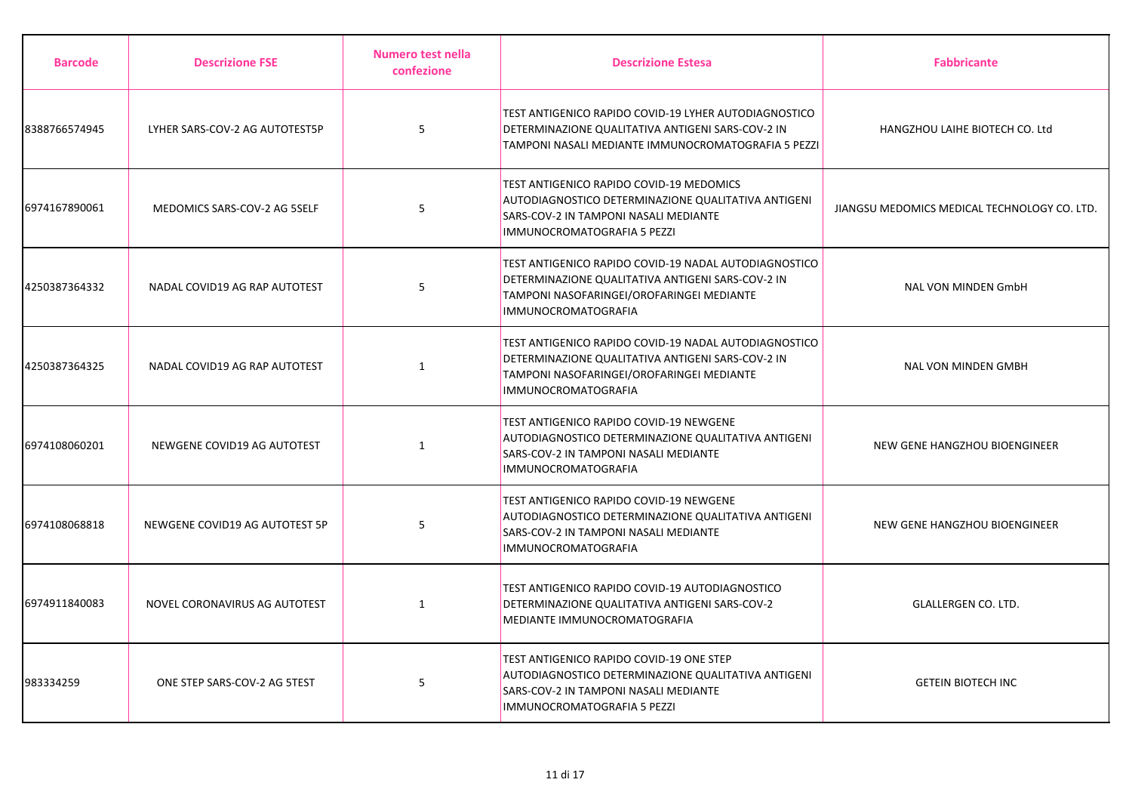| <b>Barcode</b> | <b>Descrizione FSE</b>         | Numero test nella<br>confezione | <b>Descrizione Estesa</b>                                                                                                                                                             | <b>Fabbricante</b>                           |
|----------------|--------------------------------|---------------------------------|---------------------------------------------------------------------------------------------------------------------------------------------------------------------------------------|----------------------------------------------|
| 8388766574945  | LYHER SARS-COV-2 AG AUTOTEST5P | 5                               | TEST ANTIGENICO RAPIDO COVID-19 LYHER AUTODIAGNOSTICO<br>DETERMINAZIONE QUALITATIVA ANTIGENI SARS-COV-2 IN<br>TAMPONI NASALI MEDIANTE IMMUNOCROMATOGRAFIA 5 PEZZI                     | HANGZHOU LAIHE BIOTECH CO. Ltd               |
| 6974167890061  | MEDOMICS SARS-COV-2 AG 5SELF   | 5                               | TEST ANTIGENICO RAPIDO COVID-19 MEDOMICS<br>AUTODIAGNOSTICO DETERMINAZIONE QUALITATIVA ANTIGENI<br>SARS-COV-2 IN TAMPONI NASALI MEDIANTE<br>IMMUNOCROMATOGRAFIA 5 PEZZI               | JIANGSU MEDOMICS MEDICAL TECHNOLOGY CO. LTD. |
| 4250387364332  | NADAL COVID19 AG RAP AUTOTEST  | 5                               | TEST ANTIGENICO RAPIDO COVID-19 NADAL AUTODIAGNOSTICO<br>DETERMINAZIONE QUALITATIVA ANTIGENI SARS-COV-2 IN<br>TAMPONI NASOFARINGEI/OROFARINGEI MEDIANTE<br><b>IMMUNOCROMATOGRAFIA</b> | <b>NAL VON MINDEN GmbH</b>                   |
| 4250387364325  | NADAL COVID19 AG RAP AUTOTEST  | $\mathbf{1}$                    | TEST ANTIGENICO RAPIDO COVID-19 NADAL AUTODIAGNOSTICO<br>DETERMINAZIONE QUALITATIVA ANTIGENI SARS-COV-2 IN<br>TAMPONI NASOFARINGEI/OROFARINGEI MEDIANTE<br><b>IMMUNOCROMATOGRAFIA</b> | <b>NAL VON MINDEN GMBH</b>                   |
| 6974108060201  | NEWGENE COVID19 AG AUTOTEST    | $\mathbf{1}$                    | TEST ANTIGENICO RAPIDO COVID-19 NEWGENE<br>AUTODIAGNOSTICO DETERMINAZIONE QUALITATIVA ANTIGENI<br>SARS-COV-2 IN TAMPONI NASALI MEDIANTE<br><b>IMMUNOCROMATOGRAFIA</b>                 | NEW GENE HANGZHOU BIOENGINEER                |
| 6974108068818  | NEWGENE COVID19 AG AUTOTEST 5P | 5                               | TEST ANTIGENICO RAPIDO COVID-19 NEWGENE<br>AUTODIAGNOSTICO DETERMINAZIONE QUALITATIVA ANTIGENI<br>SARS-COV-2 IN TAMPONI NASALI MEDIANTE<br><b>IMMUNOCROMATOGRAFIA</b>                 | NEW GENE HANGZHOU BIOENGINEER                |
| 6974911840083  | NOVEL CORONAVIRUS AG AUTOTEST  | 1                               | TEST ANTIGENICO RAPIDO COVID-19 AUTODIAGNOSTICO<br>DETERMINAZIONE QUALITATIVA ANTIGENI SARS-COV-2<br>MEDIANTE IMMUNOCROMATOGRAFIA                                                     | <b>GLALLERGEN CO. LTD.</b>                   |
| 983334259      | ONE STEP SARS-COV-2 AG 5TEST   | 5                               | TEST ANTIGENICO RAPIDO COVID-19 ONE STEP<br>AUTODIAGNOSTICO DETERMINAZIONE QUALITATIVA ANTIGENI<br>SARS-COV-2 IN TAMPONI NASALI MEDIANTE<br>IMMUNOCROMATOGRAFIA 5 PEZZI               | <b>GETEIN BIOTECH INC</b>                    |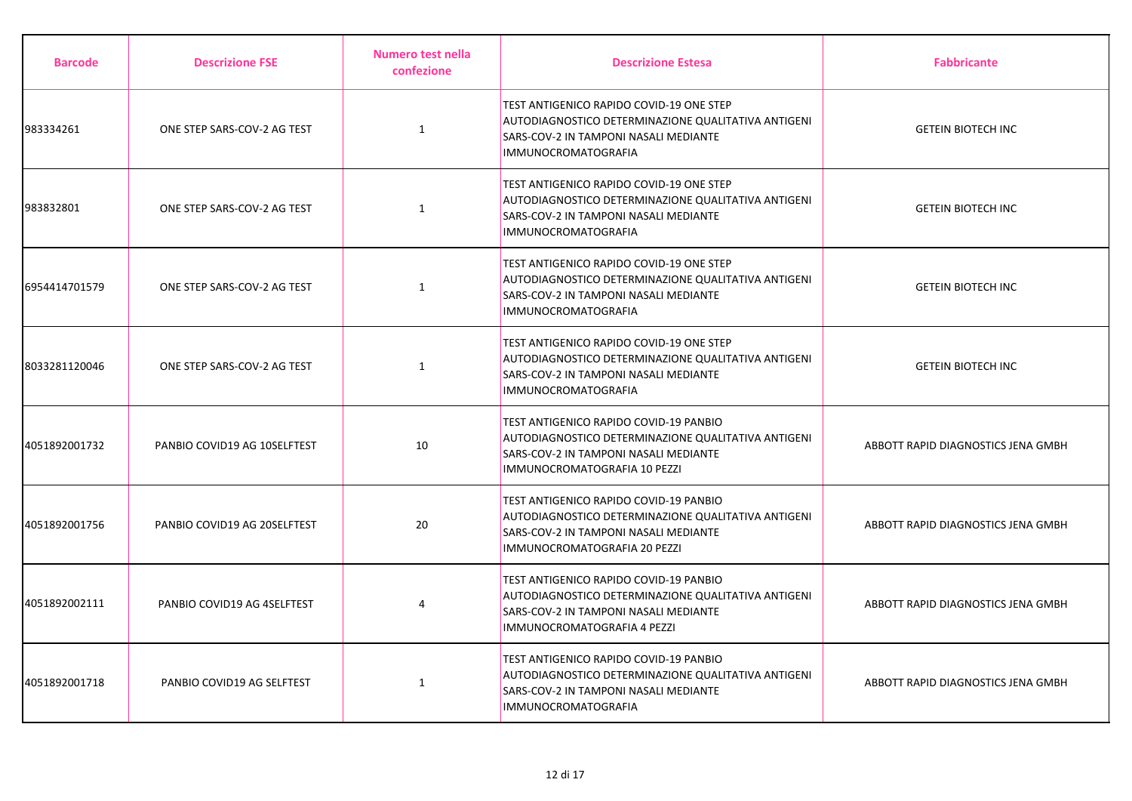| <b>Barcode</b> | <b>Descrizione FSE</b>       | Numero test nella<br>confezione | <b>Descrizione Estesa</b>                                                                                                                                              | <b>Fabbricante</b>                 |
|----------------|------------------------------|---------------------------------|------------------------------------------------------------------------------------------------------------------------------------------------------------------------|------------------------------------|
| 983334261      | ONE STEP SARS-COV-2 AG TEST  | $\mathbf{1}$                    | TEST ANTIGENICO RAPIDO COVID-19 ONE STEP<br>AUTODIAGNOSTICO DETERMINAZIONE QUALITATIVA ANTIGENI<br>SARS-COV-2 IN TAMPONI NASALI MEDIANTE<br><b>IMMUNOCROMATOGRAFIA</b> | <b>GETEIN BIOTECH INC</b>          |
| 983832801      | ONE STEP SARS-COV-2 AG TEST  | $\mathbf{1}$                    | TEST ANTIGENICO RAPIDO COVID-19 ONE STEP<br>AUTODIAGNOSTICO DETERMINAZIONE QUALITATIVA ANTIGENI<br>SARS-COV-2 IN TAMPONI NASALI MEDIANTE<br><b>IMMUNOCROMATOGRAFIA</b> | <b>GETEIN BIOTECH INC</b>          |
| 6954414701579  | ONE STEP SARS-COV-2 AG TEST  | $\mathbf{1}$                    | TEST ANTIGENICO RAPIDO COVID-19 ONE STEP<br>AUTODIAGNOSTICO DETERMINAZIONE QUALITATIVA ANTIGENI<br>SARS-COV-2 IN TAMPONI NASALI MEDIANTE<br>IMMUNOCROMATOGRAFIA        | <b>GETEIN BIOTECH INC</b>          |
| 8033281120046  | ONE STEP SARS-COV-2 AG TEST  | $\mathbf{1}$                    | TEST ANTIGENICO RAPIDO COVID-19 ONE STEP<br>AUTODIAGNOSTICO DETERMINAZIONE QUALITATIVA ANTIGENI<br>SARS-COV-2 IN TAMPONI NASALI MEDIANTE<br><b>IMMUNOCROMATOGRAFIA</b> | <b>GETEIN BIOTECH INC</b>          |
| 4051892001732  | PANBIO COVID19 AG 10SELFTEST | 10                              | TEST ANTIGENICO RAPIDO COVID-19 PANBIO<br>AUTODIAGNOSTICO DETERMINAZIONE QUALITATIVA ANTIGENI<br>SARS-COV-2 IN TAMPONI NASALI MEDIANTE<br>IMMUNOCROMATOGRAFIA 10 PEZZI | ABBOTT RAPID DIAGNOSTICS JENA GMBH |
| 4051892001756  | PANBIO COVID19 AG 20SELFTEST | 20                              | TEST ANTIGENICO RAPIDO COVID-19 PANBIO<br>AUTODIAGNOSTICO DETERMINAZIONE QUALITATIVA ANTIGENI<br>SARS-COV-2 IN TAMPONI NASALI MEDIANTE<br>IMMUNOCROMATOGRAFIA 20 PEZZI | ABBOTT RAPID DIAGNOSTICS JENA GMBH |
| 4051892002111  | PANBIO COVID19 AG 4SELFTEST  | 4                               | TEST ANTIGENICO RAPIDO COVID-19 PANBIO<br>AUTODIAGNOSTICO DETERMINAZIONE QUALITATIVA ANTIGENI<br>SARS-COV-2 IN TAMPONI NASALI MEDIANTE<br>IMMUNOCROMATOGRAFIA 4 PEZZI  | ABBOTT RAPID DIAGNOSTICS JENA GMBH |
| 4051892001718  | PANBIO COVID19 AG SELFTEST   | 1                               | TEST ANTIGENICO RAPIDO COVID-19 PANBIO<br>AUTODIAGNOSTICO DETERMINAZIONE QUALITATIVA ANTIGENI<br>SARS-COV-2 IN TAMPONI NASALI MEDIANTE<br><b>IMMUNOCROMATOGRAFIA</b>   | ABBOTT RAPID DIAGNOSTICS JENA GMBH |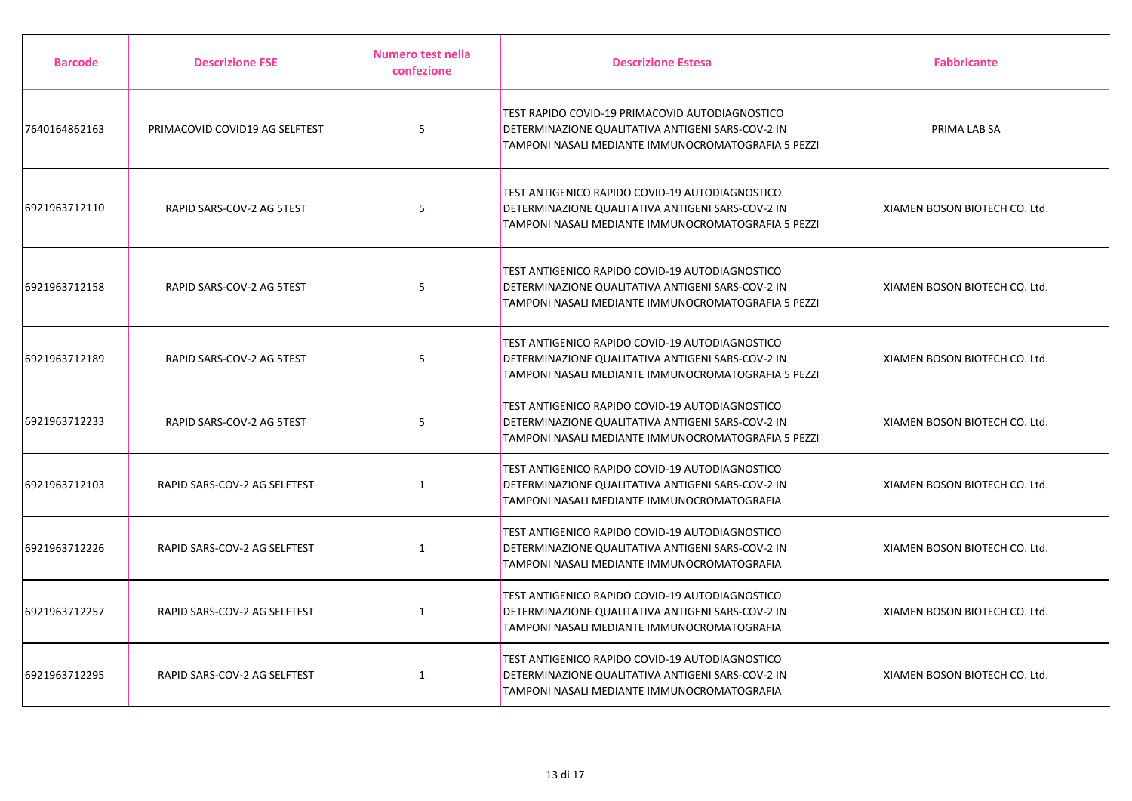| <b>Barcode</b> | <b>Descrizione FSE</b>         | Numero test nella<br>confezione | <b>Descrizione Estesa</b>                                                                                                                                   | <b>Fabbricante</b>            |
|----------------|--------------------------------|---------------------------------|-------------------------------------------------------------------------------------------------------------------------------------------------------------|-------------------------------|
| 7640164862163  | PRIMACOVID COVID19 AG SELFTEST | 5                               | TEST RAPIDO COVID-19 PRIMACOVID AUTODIAGNOSTICO<br>DETERMINAZIONE QUALITATIVA ANTIGENI SARS-COV-2 IN<br>TAMPONI NASALI MEDIANTE IMMUNOCROMATOGRAFIA 5 PEZZI | PRIMA LAB SA                  |
| 6921963712110  | RAPID SARS-COV-2 AG 5TEST      | 5                               | TEST ANTIGENICO RAPIDO COVID-19 AUTODIAGNOSTICO<br>DETERMINAZIONE QUALITATIVA ANTIGENI SARS-COV-2 IN<br>TAMPONI NASALI MEDIANTE IMMUNOCROMATOGRAFIA 5 PEZZI | XIAMEN BOSON BIOTECH CO. Ltd. |
| 6921963712158  | RAPID SARS-COV-2 AG 5TEST      | 5                               | TEST ANTIGENICO RAPIDO COVID-19 AUTODIAGNOSTICO<br>DETERMINAZIONE QUALITATIVA ANTIGENI SARS-COV-2 IN<br>TAMPONI NASALI MEDIANTE IMMUNOCROMATOGRAFIA 5 PEZZI | XIAMEN BOSON BIOTECH CO. Ltd. |
| 6921963712189  | RAPID SARS-COV-2 AG 5TEST      | 5                               | TEST ANTIGENICO RAPIDO COVID-19 AUTODIAGNOSTICO<br>DETERMINAZIONE QUALITATIVA ANTIGENI SARS-COV-2 IN<br>TAMPONI NASALI MEDIANTE IMMUNOCROMATOGRAFIA 5 PEZZI | XIAMEN BOSON BIOTECH CO. Ltd. |
| 6921963712233  | RAPID SARS-COV-2 AG 5TEST      | 5                               | TEST ANTIGENICO RAPIDO COVID-19 AUTODIAGNOSTICO<br>DETERMINAZIONE QUALITATIVA ANTIGENI SARS-COV-2 IN<br>TAMPONI NASALI MEDIANTE IMMUNOCROMATOGRAFIA 5 PEZZI | XIAMEN BOSON BIOTECH CO. Ltd. |
| 6921963712103  | RAPID SARS-COV-2 AG SELFTEST   | $\mathbf{1}$                    | TEST ANTIGENICO RAPIDO COVID-19 AUTODIAGNOSTICO<br>DETERMINAZIONE QUALITATIVA ANTIGENI SARS-COV-2 IN<br>TAMPONI NASALI MEDIANTE IMMUNOCROMATOGRAFIA         | XIAMEN BOSON BIOTECH CO. Ltd. |
| 6921963712226  | RAPID SARS-COV-2 AG SELFTEST   | $\mathbf{1}$                    | TEST ANTIGENICO RAPIDO COVID-19 AUTODIAGNOSTICO<br>DETERMINAZIONE QUALITATIVA ANTIGENI SARS-COV-2 IN<br>TAMPONI NASALI MEDIANTE IMMUNOCROMATOGRAFIA         | XIAMEN BOSON BIOTECH CO. Ltd. |
| 6921963712257  | RAPID SARS-COV-2 AG SELFTEST   | $\mathbf{1}$                    | TEST ANTIGENICO RAPIDO COVID-19 AUTODIAGNOSTICO<br>DETERMINAZIONE QUALITATIVA ANTIGENI SARS-COV-2 IN<br>TAMPONI NASALI MEDIANTE IMMUNOCROMATOGRAFIA         | XIAMEN BOSON BIOTECH CO. Ltd. |
| 6921963712295  | RAPID SARS-COV-2 AG SELFTEST   | 1                               | TEST ANTIGENICO RAPIDO COVID-19 AUTODIAGNOSTICO<br>DETERMINAZIONE QUALITATIVA ANTIGENI SARS-COV-2 IN<br>TAMPONI NASALI MEDIANTE IMMUNOCROMATOGRAFIA         | XIAMEN BOSON BIOTECH CO. Ltd. |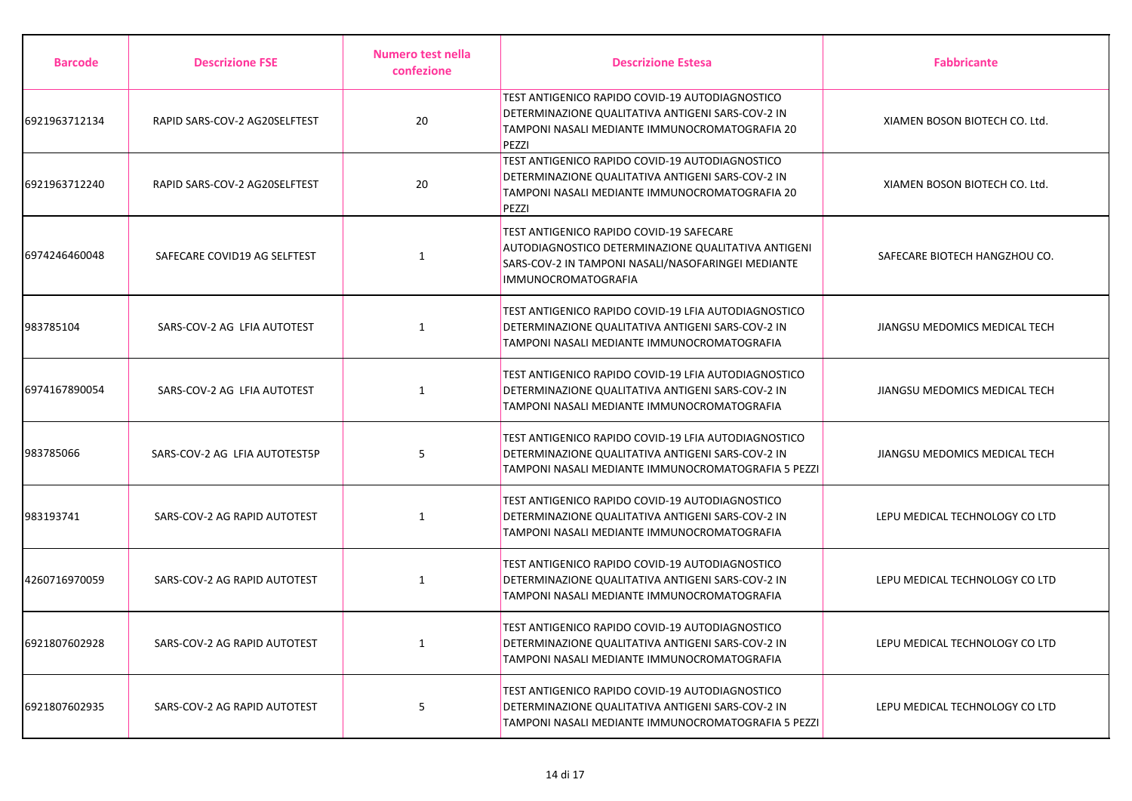| <b>Barcode</b> | <b>Descrizione FSE</b>        | <b>Numero test nella</b><br>confezione | <b>Descrizione Estesa</b>                                                                                                                                                    | <b>Fabbricante</b>             |
|----------------|-------------------------------|----------------------------------------|------------------------------------------------------------------------------------------------------------------------------------------------------------------------------|--------------------------------|
| 6921963712134  | RAPID SARS-COV-2 AG20SELFTEST | 20                                     | TEST ANTIGENICO RAPIDO COVID-19 AUTODIAGNOSTICO<br>DETERMINAZIONE QUALITATIVA ANTIGENI SARS-COV-2 IN<br>TAMPONI NASALI MEDIANTE IMMUNOCROMATOGRAFIA 20<br>PEZZI              | XIAMEN BOSON BIOTECH CO. Ltd.  |
| 6921963712240  | RAPID SARS-COV-2 AG20SELFTEST | 20                                     | TEST ANTIGENICO RAPIDO COVID-19 AUTODIAGNOSTICO<br>DETERMINAZIONE QUALITATIVA ANTIGENI SARS-COV-2 IN<br>TAMPONI NASALI MEDIANTE IMMUNOCROMATOGRAFIA 20<br>PEZZI              | XIAMEN BOSON BIOTECH CO. Ltd.  |
| 6974246460048  | SAFECARE COVID19 AG SELFTEST  | $\mathbf{1}$                           | TEST ANTIGENICO RAPIDO COVID-19 SAFECARE<br>AUTODIAGNOSTICO DETERMINAZIONE QUALITATIVA ANTIGENI<br>SARS-COV-2 IN TAMPONI NASALI/NASOFARINGEI MEDIANTE<br>IMMUNOCROMATOGRAFIA | SAFECARE BIOTECH HANGZHOU CO.  |
| 983785104      | SARS-COV-2 AG LFIA AUTOTEST   | $\mathbf{1}$                           | TEST ANTIGENICO RAPIDO COVID-19 LFIA AUTODIAGNOSTICO<br>DETERMINAZIONE QUALITATIVA ANTIGENI SARS-COV-2 IN<br>TAMPONI NASALI MEDIANTE IMMUNOCROMATOGRAFIA                     | JIANGSU MEDOMICS MEDICAL TECH  |
| 6974167890054  | SARS-COV-2 AG LFIA AUTOTEST   | 1                                      | TEST ANTIGENICO RAPIDO COVID-19 LFIA AUTODIAGNOSTICO<br>DETERMINAZIONE QUALITATIVA ANTIGENI SARS-COV-2 IN<br>TAMPONI NASALI MEDIANTE IMMUNOCROMATOGRAFIA                     | JIANGSU MEDOMICS MEDICAL TECH  |
| 983785066      | SARS-COV-2 AG LFIA AUTOTEST5P | 5                                      | TEST ANTIGENICO RAPIDO COVID-19 LFIA AUTODIAGNOSTICO<br>DETERMINAZIONE QUALITATIVA ANTIGENI SARS-COV-2 IN<br>TAMPONI NASALI MEDIANTE IMMUNOCROMATOGRAFIA 5 PEZZI             | JIANGSU MEDOMICS MEDICAL TECH  |
| 983193741      | SARS-COV-2 AG RAPID AUTOTEST  | $\mathbf{1}$                           | TEST ANTIGENICO RAPIDO COVID-19 AUTODIAGNOSTICO<br>DETERMINAZIONE QUALITATIVA ANTIGENI SARS-COV-2 IN<br>TAMPONI NASALI MEDIANTE IMMUNOCROMATOGRAFIA                          | LEPU MEDICAL TECHNOLOGY CO LTD |
| 4260716970059  | SARS-COV-2 AG RAPID AUTOTEST  | 1                                      | TEST ANTIGENICO RAPIDO COVID-19 AUTODIAGNOSTICO<br>DETERMINAZIONE QUALITATIVA ANTIGENI SARS-COV-2 IN<br>TAMPONI NASALI MEDIANTE IMMUNOCROMATOGRAFIA                          | LEPU MEDICAL TECHNOLOGY CO LTD |
| 6921807602928  | SARS-COV-2 AG RAPID AUTOTEST  | 1                                      | TEST ANTIGENICO RAPIDO COVID-19 AUTODIAGNOSTICO<br>DETERMINAZIONE QUALITATIVA ANTIGENI SARS-COV-2 IN<br>TAMPONI NASALI MEDIANTE IMMUNOCROMATOGRAFIA                          | LEPU MEDICAL TECHNOLOGY CO LTD |
| 6921807602935  | SARS-COV-2 AG RAPID AUTOTEST  | 5                                      | TEST ANTIGENICO RAPIDO COVID-19 AUTODIAGNOSTICO<br>DETERMINAZIONE QUALITATIVA ANTIGENI SARS-COV-2 IN<br>TAMPONI NASALI MEDIANTE IMMUNOCROMATOGRAFIA 5 PEZZI                  | LEPU MEDICAL TECHNOLOGY CO LTD |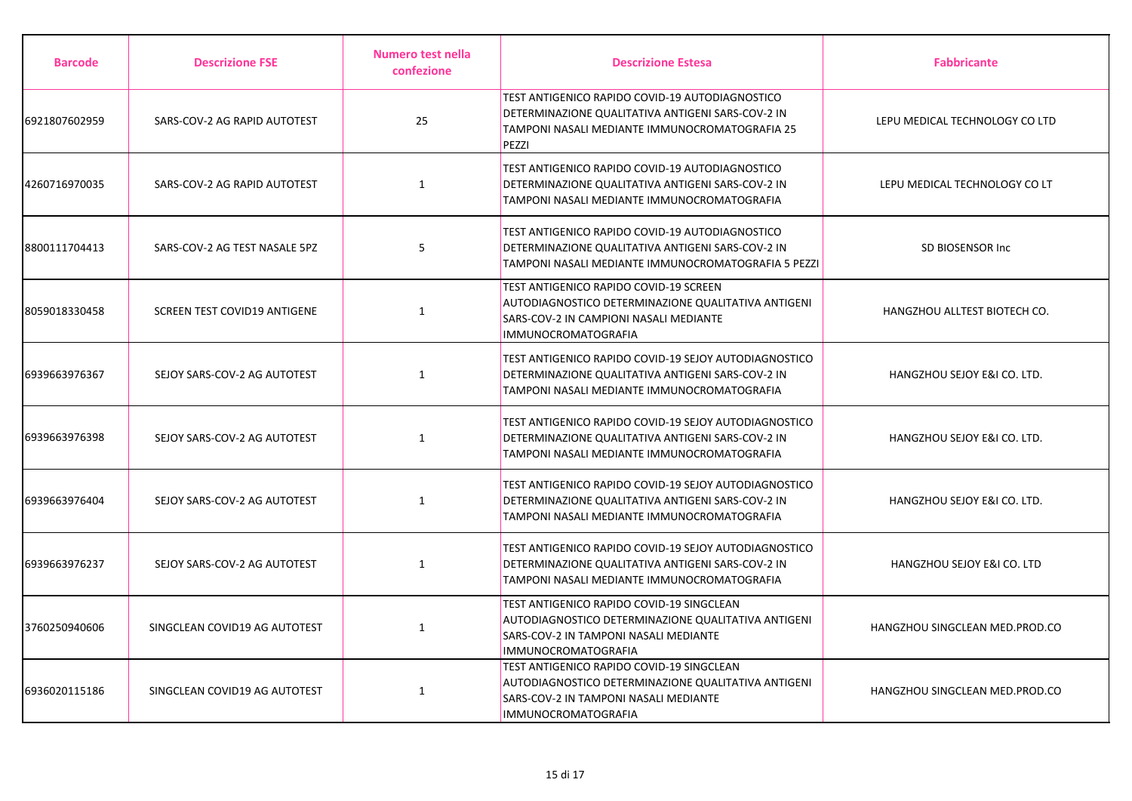| <b>Barcode</b> | <b>Descrizione FSE</b>        | Numero test nella<br>confezione | <b>Descrizione Estesa</b>                                                                                                                                        | <b>Fabbricante</b>             |
|----------------|-------------------------------|---------------------------------|------------------------------------------------------------------------------------------------------------------------------------------------------------------|--------------------------------|
| 6921807602959  | SARS-COV-2 AG RAPID AUTOTEST  | 25                              | TEST ANTIGENICO RAPIDO COVID-19 AUTODIAGNOSTICO<br>DETERMINAZIONE QUALITATIVA ANTIGENI SARS-COV-2 IN<br>TAMPONI NASALI MEDIANTE IMMUNOCROMATOGRAFIA 25<br>PEZZI  | LEPU MEDICAL TECHNOLOGY CO LTD |
| 4260716970035  | SARS-COV-2 AG RAPID AUTOTEST  | $\mathbf{1}$                    | TEST ANTIGENICO RAPIDO COVID-19 AUTODIAGNOSTICO<br>DETERMINAZIONE QUALITATIVA ANTIGENI SARS-COV-2 IN<br>TAMPONI NASALI MEDIANTE IMMUNOCROMATOGRAFIA              | LEPU MEDICAL TECHNOLOGY CO LT  |
| 8800111704413  | SARS-COV-2 AG TEST NASALE 5PZ | 5                               | TEST ANTIGENICO RAPIDO COVID-19 AUTODIAGNOSTICO<br>DETERMINAZIONE QUALITATIVA ANTIGENI SARS-COV-2 IN<br>TAMPONI NASALI MEDIANTE IMMUNOCROMATOGRAFIA 5 PEZZI      | <b>SD BIOSENSOR Inc.</b>       |
| 8059018330458  | SCREEN TEST COVID19 ANTIGENE  | 1                               | TEST ANTIGENICO RAPIDO COVID-19 SCREEN<br>AUTODIAGNOSTICO DETERMINAZIONE QUALITATIVA ANTIGENI<br>SARS-COV-2 IN CAMPIONI NASALI MEDIANTE<br>IMMUNOCROMATOGRAFIA   | HANGZHOU ALLTEST BIOTECH CO.   |
| 6939663976367  | SEJOY SARS-COV-2 AG AUTOTEST  | $\mathbf{1}$                    | TEST ANTIGENICO RAPIDO COVID-19 SEJOY AUTODIAGNOSTICO<br>DETERMINAZIONE QUALITATIVA ANTIGENI SARS-COV-2 IN<br>TAMPONI NASALI MEDIANTE IMMUNOCROMATOGRAFIA        | HANGZHOU SEJOY E&I CO. LTD.    |
| 6939663976398  | SEJOY SARS-COV-2 AG AUTOTEST  | 1                               | TEST ANTIGENICO RAPIDO COVID-19 SEJOY AUTODIAGNOSTICO<br>DETERMINAZIONE QUALITATIVA ANTIGENI SARS-COV-2 IN<br>TAMPONI NASALI MEDIANTE IMMUNOCROMATOGRAFIA        | HANGZHOU SEJOY E&I CO. LTD.    |
| 6939663976404  | SEJOY SARS-COV-2 AG AUTOTEST  | $\mathbf{1}$                    | TEST ANTIGENICO RAPIDO COVID-19 SEJOY AUTODIAGNOSTICO<br>DETERMINAZIONE QUALITATIVA ANTIGENI SARS-COV-2 IN<br>TAMPONI NASALI MEDIANTE IMMUNOCROMATOGRAFIA        | HANGZHOU SEJOY E&I CO. LTD.    |
| 6939663976237  | SEJOY SARS-COV-2 AG AUTOTEST  | $\mathbf{1}$                    | TEST ANTIGENICO RAPIDO COVID-19 SEJOY AUTODIAGNOSTICO<br>DETERMINAZIONE QUALITATIVA ANTIGENI SARS-COV-2 IN<br>TAMPONI NASALI MEDIANTE IMMUNOCROMATOGRAFIA        | HANGZHOU SEJOY E&I CO. LTD     |
| 3760250940606  | SINGCLEAN COVID19 AG AUTOTEST | $\mathbf{1}$                    | TEST ANTIGENICO RAPIDO COVID-19 SINGCLEAN<br>AUTODIAGNOSTICO DETERMINAZIONE QUALITATIVA ANTIGENI<br>SARS-COV-2 IN TAMPONI NASALI MEDIANTE<br>IMMUNOCROMATOGRAFIA | HANGZHOU SINGCLEAN MED.PROD.CO |
| 6936020115186  | SINGCLEAN COVID19 AG AUTOTEST | $\mathbf{1}$                    | TEST ANTIGENICO RAPIDO COVID-19 SINGCLEAN<br>AUTODIAGNOSTICO DETERMINAZIONE QUALITATIVA ANTIGENI<br>SARS-COV-2 IN TAMPONI NASALI MEDIANTE<br>IMMUNOCROMATOGRAFIA | HANGZHOU SINGCLEAN MED.PROD.CO |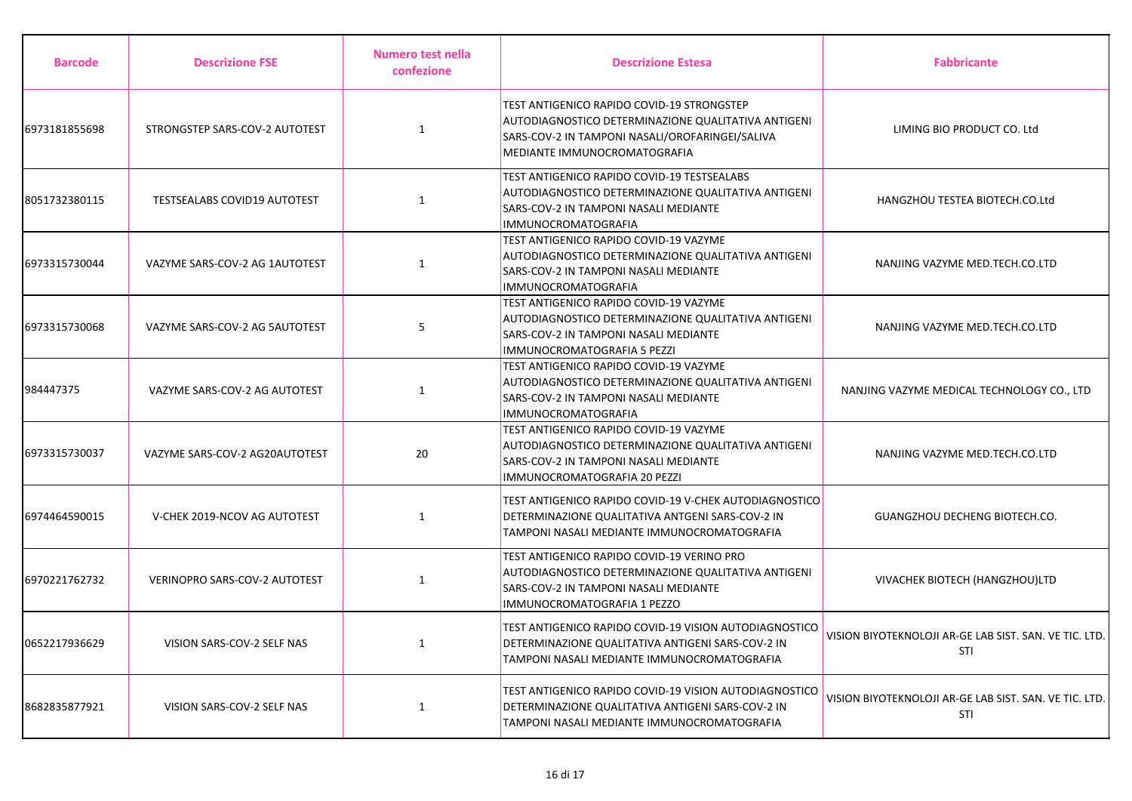| <b>Barcode</b> | <b>Descrizione FSE</b>              | Numero test nella<br>confezione | <b>Descrizione Estesa</b>                                                                                                                                                            | <b>Fabbricante</b>                                            |
|----------------|-------------------------------------|---------------------------------|--------------------------------------------------------------------------------------------------------------------------------------------------------------------------------------|---------------------------------------------------------------|
| 6973181855698  | STRONGSTEP SARS-COV-2 AUTOTEST      | $\mathbf{1}$                    | TEST ANTIGENICO RAPIDO COVID-19 STRONGSTEP<br>AUTODIAGNOSTICO DETERMINAZIONE QUALITATIVA ANTIGENI<br>SARS-COV-2 IN TAMPONI NASALI/OROFARINGEI/SALIVA<br>MEDIANTE IMMUNOCROMATOGRAFIA | LIMING BIO PRODUCT CO. Ltd                                    |
| 8051732380115  | <b>TESTSEALABS COVID19 AUTOTEST</b> | $\mathbf{1}$                    | TEST ANTIGENICO RAPIDO COVID-19 TESTSEALABS<br>AUTODIAGNOSTICO DETERMINAZIONE QUALITATIVA ANTIGENI<br>SARS-COV-2 IN TAMPONI NASALI MEDIANTE<br>IMMUNOCROMATOGRAFIA                   | HANGZHOU TESTEA BIOTECH.CO.Ltd                                |
| 6973315730044  | VAZYME SARS-COV-2 AG 1AUTOTEST      | $\mathbf{1}$                    | TEST ANTIGENICO RAPIDO COVID-19 VAZYME<br>AUTODIAGNOSTICO DETERMINAZIONE QUALITATIVA ANTIGENI<br>SARS-COV-2 IN TAMPONI NASALI MEDIANTE<br><b>IMMUNOCROMATOGRAFIA</b>                 | NANJING VAZYME MED.TECH.CO.LTD                                |
| 6973315730068  | VAZYME SARS-COV-2 AG 5AUTOTEST      | 5                               | TEST ANTIGENICO RAPIDO COVID-19 VAZYME<br>AUTODIAGNOSTICO DETERMINAZIONE QUALITATIVA ANTIGENI<br>SARS-COV-2 IN TAMPONI NASALI MEDIANTE<br>IMMUNOCROMATOGRAFIA 5 PEZZI                | NANJING VAZYME MED.TECH.CO.LTD                                |
| 984447375      | VAZYME SARS-COV-2 AG AUTOTEST       | $\mathbf{1}$                    | TEST ANTIGENICO RAPIDO COVID-19 VAZYME<br>AUTODIAGNOSTICO DETERMINAZIONE QUALITATIVA ANTIGENI<br>SARS-COV-2 IN TAMPONI NASALI MEDIANTE<br><b>IMMUNOCROMATOGRAFIA</b>                 | NANJING VAZYME MEDICAL TECHNOLOGY CO., LTD                    |
| 6973315730037  | VAZYME SARS-COV-2 AG20AUTOTEST      | 20                              | TEST ANTIGENICO RAPIDO COVID-19 VAZYME<br>AUTODIAGNOSTICO DETERMINAZIONE QUALITATIVA ANTIGENI<br>SARS-COV-2 IN TAMPONI NASALI MEDIANTE<br>IMMUNOCROMATOGRAFIA 20 PEZZI               | NANJING VAZYME MED.TECH.CO.LTD                                |
| 6974464590015  | V-CHEK 2019-NCOV AG AUTOTEST        | $\mathbf{1}$                    | TEST ANTIGENICO RAPIDO COVID-19 V-CHEK AUTODIAGNOSTICO<br>DETERMINAZIONE QUALITATIVA ANTGENI SARS-COV-2 IN<br>TAMPONI NASALI MEDIANTE IMMUNOCROMATOGRAFIA                            | GUANGZHOU DECHENG BIOTECH.CO.                                 |
| 6970221762732  | VERINOPRO SARS-COV-2 AUTOTEST       | 1                               | TEST ANTIGENICO RAPIDO COVID-19 VERINO PRO<br>AUTODIAGNOSTICO DETERMINAZIONE QUALITATIVA ANTIGENI<br>SARS-COV-2 IN TAMPONI NASALI MEDIANTE<br>IMMUNOCROMATOGRAFIA 1 PEZZO            | VIVACHEK BIOTECH (HANGZHOU)LTD                                |
| 0652217936629  | VISION SARS-COV-2 SELF NAS          | $\mathbf{1}$                    | TEST ANTIGENICO RAPIDO COVID-19 VISION AUTODIAGNOSTICO<br>DETERMINAZIONE QUALITATIVA ANTIGENI SARS-COV-2 IN<br>TAMPONI NASALI MEDIANTE IMMUNOCROMATOGRAFIA                           | VISION BIYOTEKNOLOJI AR-GE LAB SIST. SAN. VE TIC. LTD.<br>STI |
| 8682835877921  | VISION SARS-COV-2 SELF NAS          | $\mathbf{1}$                    | TEST ANTIGENICO RAPIDO COVID-19 VISION AUTODIAGNOSTICO<br>DETERMINAZIONE QUALITATIVA ANTIGENI SARS-COV-2 IN<br>TAMPONI NASALI MEDIANTE IMMUNOCROMATOGRAFIA                           | VISION BIYOTEKNOLOJI AR-GE LAB SIST. SAN. VE TIC. LTD.<br>STI |